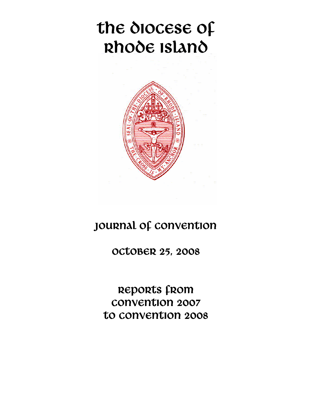# the diocese of Rhode Island



## JOURNAL OF CONVENTION

OCTOBER 25, 2008

REPORTS from Convention 2007 to convention 2008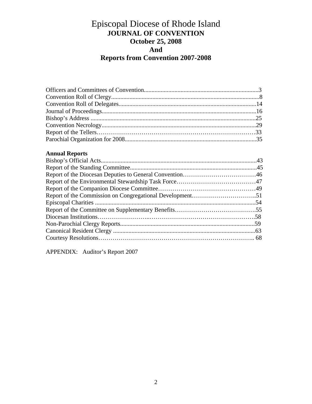## Episcopal Diocese of Rhode Island **JOURNAL OF CONVENTION October 25, 2008 And Reports from Convention 2007-2008**

### **Annual Reports**

APPENDIX: Auditor's Report 2007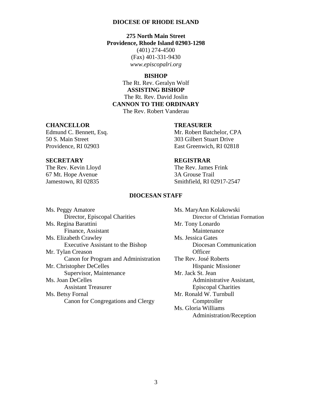### **DIOCESE OF RHODE ISLAND**

**275 North Main Street Providence, Rhode Island 02903-1298**  (401) 274-4500 (Fax) 401-331-9430 *www.episcopalri.org* 

### **BISHOP**

The Rt. Rev. Geralyn Wolf **ASSISTING BISHOP**  The Rt. Rev. David Joslin **CANNON TO THE ORDINARY**  The Rev. Robert Vanderau

### **CHANCELLOR TREASURER**

Edmund C. Bennett, Esq. Mr. Robert Batchelor, CPA

50 S. Main Street 303 Gilbert Stuart Drive Providence, RI 02903 East Greenwich, RI 02818

The Rev. Kevin Lloyd The Rev. James Frink 67 Mt. Hope Avenue 3A Grouse Trail

### **SECRETARY REGISTRAR**

Jamestown, RI 02835 Smithfield, RI 02917-2547

### **DIOCESAN STAFF**

| Ms. Peggy Amatore                    | Ms. MaryAnn 1               |
|--------------------------------------|-----------------------------|
| Director, Episcopal Charities        | Director                    |
| Ms. Regina Barattini                 | Mr. Tony Lona               |
| Finance, Assistant                   | Mainter                     |
| Ms. Elizabeth Crawley                | Ms. Jessica Gat             |
| Executive Assistant to the Bishop    | Diocesa                     |
| Mr. Tylan Creason                    | Officer                     |
| Canon for Program and Administration | The Rev. José I             |
| Mr. Christopher DeCelles             | Hispani                     |
| Supervisor, Maintenance              | Mr. Jack St. Jea            |
| Ms. Joan DeCelles                    | Admini                      |
| <b>Assistant Treasurer</b>           | Episcop                     |
| Ms. Betsy Fornal                     | Mr. Ronald W.               |
| Canon for Congregations and Clergy   | Comptr                      |
|                                      | $M = \bigcap_{i=1}^{n} M_i$ |

Ms. MaryAnn Kolakowski Director of Christian Formation Mr. Tony Lonardo **Maintenance** Ms. Jessica Gates Diocesan Communication The Rev. José Roberts Hispanic Missioner Mr. Jack St. Jean Administrative Assistant, **Episcopal Charities** Mr. Ronald W. Turnbull Comptroller Ms. Gloria Williams Administration/Reception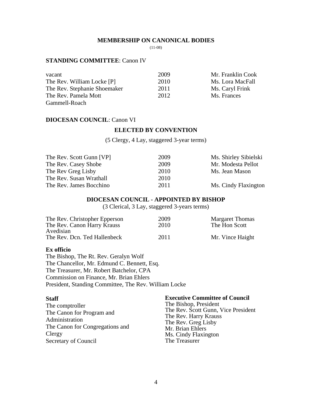### **MEMBERSHIP ON CANONICAL BODIES**

(11-08)

### **STANDING COMMITTEE**: Canon IV

| vacant                       | 2009 | Mr. Franklin Cook |
|------------------------------|------|-------------------|
| The Rev. William Locke [P]   | 2010 | Ms. Lora MacFall  |
| The Rev. Stephanie Shoemaker | 2011 | Ms. Caryl Frink   |
| The Rev. Pamela Mott         | 2012 | Ms. Frances       |
| Gammell-Roach                |      |                   |

### **DIOCESAN COUNCIL**: Canon VI

### **ELECTED BY CONVENTION**

(5 Clergy, 4 Lay, staggered 3-year terms)

| The Rev. Scott Gunn [VP] | 2009 | Ms. Shirley Sibielski |
|--------------------------|------|-----------------------|
| The Rev. Casey Shobe     | 2009 | Mr. Modesta Pellot    |
| The Rev Greg Lisby       | 2010 | Ms. Jean Mason        |
| The Rev. Susan Wrathall  | 2010 |                       |
| The Rev. James Bocchino  | 2011 | Ms. Cindy Flaxington  |

### **DIOCESAN COUNCIL - APPOINTED BY BISHOP**

(3 Clerical, 3 Lay, staggered 3-years terms)

| The Rev. Christopher Epperson | 2009 | <b>Margaret Thomas</b> |
|-------------------------------|------|------------------------|
| The Rev. Canon Harry Krauss   | 2010 | The Hon Scott          |
| Avedisian                     |      |                        |
| The Rev. Dcn. Ted Hallenbeck  | 2011 | Mr. Vince Haight       |

### **Ex officio**

The Bishop, The Rt. Rev. Geralyn Wolf The Chancellor, Mr. Edmund C. Bennett, Esq. The Treasurer, Mr. Robert Batchelor, CPA Commission on Finance, Mr. Brian Ehlers President, Standing Committee, The Rev. William Locke

### **Staff**

| The Bishop, President<br>The comptroller<br>The Canon for Program and<br>Administration<br>The Canon for Congregations and<br>Clergy | The Rev. Scott Gunn, Vice President<br>The Rev. Harry Krauss<br>The Rev. Greg Lisby<br>Mr. Brian Ehlers<br>Ms. Cindy Flaxington |
|--------------------------------------------------------------------------------------------------------------------------------------|---------------------------------------------------------------------------------------------------------------------------------|
| <b>Secretary of Council</b>                                                                                                          | The Treasurer                                                                                                                   |

**Executive Committee of Council**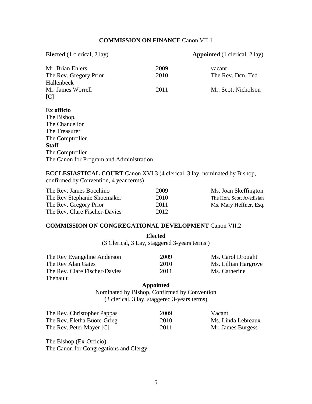### **COMMISSION ON FINANCE** Canon VII.1

| <b>Elected</b> (1 clerical, 2 lay) |      | <b>Appointed</b> (1 clerical, 2 lay) |
|------------------------------------|------|--------------------------------------|
| Mr. Brian Ehlers                   | 2009 | vacant                               |
| The Rev. Gregory Prior             | 2010 | The Rev. Dcn. Ted                    |
| Hallenbeck                         |      |                                      |
| Mr. James Worrell                  | 2011 | Mr. Scott Nicholson                  |
| $\lceil C \rceil$                  |      |                                      |
| Ex officio                         |      |                                      |
| The Bishop,                        |      |                                      |
| The Chancellor                     |      |                                      |
| The Treasurer                      |      |                                      |
| The Comptroller                    |      |                                      |
| <b>Staff</b>                       |      |                                      |

**ECCLESIASTICAL COURT** Canon XVI.3 (4 clerical, 3 lay, nominated by Bishop, confirmed by Convention, 4 year terms)

| The Rev. James Bocchino       | 2009 | Ms. Joan Skeffington     |
|-------------------------------|------|--------------------------|
| The Rev Stephanie Shoemaker   | 2010 | The Hon. Scott Avedisian |
| The Rev. Gregory Prior        | 2011 | Ms. Mary Heffner, Esq.   |
| The Rev. Clare Fischer-Davies | 2012 |                          |

### **COMMISSION ON CONGREGATIONAL DEVELOPMENT** Canon VII.2

**Elected**  (3 Clerical, 3 Lay, staggered 3-years terms )

| The Rev Evangeline Anderson   | 2009 | Ms. Carol Drought    |
|-------------------------------|------|----------------------|
| The Rev Alan Gates            | 2010 | Ms. Lillian Hargrove |
| The Rev. Clare Fischer-Davies | 2011 | Ms. Catherine        |
| Thenault                      |      |                      |

### **Appointed**

Nominated by Bishop, Confirmed by Convention (3 clerical, 3 lay, staggered 3-years terms)

| The Rev. Christopher Pappas | 2009 | Vacant             |
|-----------------------------|------|--------------------|
| The Rev. Eletha Buote-Grieg | 2010 | Ms. Linda Lebreaux |
| The Rev. Peter Mayer [C]    | 2011 | Mr. James Burgess  |

The Bishop (Ex-Officio) The Canon for Congregations and Clergy

The Comptroller

The Canon for Program and Administration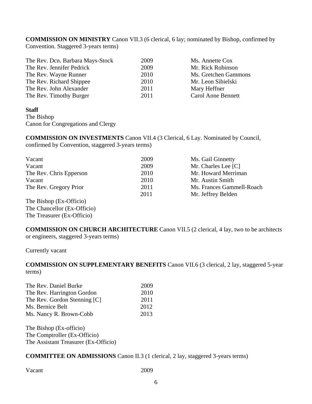**COMMISSION ON MINISTRY** Canon VII.3 (6 clerical, 6 lay; nominated by Bishop, confirmed by Convention. Staggered 3-years terms)

| The Rev. Dcn. Barbara Mays-Stock | 2009 | Ms. Annette Cox      |
|----------------------------------|------|----------------------|
| The Rev. Jennifer Pedrick        | 2009 | Mr. Rick Robinson    |
| The Rev. Wayne Runner            | 2010 | Ms. Gretchen Gammons |
| The Rev. Richard Shippee         | 2010 | Mr. Leon Sibielski   |
| The Rev. John Alexander          | 2011 | Mary Heffner         |
| The Rev. Timothy Burger          | 2011 | Carol Anne Bennett   |

### **Staff**

The Bishop Canon for Congregations and Clergy

**COMMISSION ON INVESTMENTS** Canon VII.4 (3 Clerical, 6 Lay. Nominated by Council, confirmed by Convention, staggered 3-years terms)

| Vacant                  | 2009 | Ms. Gail Ginnetty         |
|-------------------------|------|---------------------------|
| Vacant                  | 2009 | Mr. Charles Lee [C]       |
| The Rev. Chris Epperson | 2010 | Mr. Howard Merriman       |
| Vacant                  | 2010 | Mr. Austin Smith          |
| The Rev. Gregory Prior  | 2011 | Ms. Frances Gammell-Roach |
|                         | 2011 | Mr. Jeffrey Belden        |
| The Bishop (Ex-Officio) |      |                           |

The Bishop (Ex-Officio) The Chancellor (Ex-Officio) The Treasurer (Ex-Officio)

**COMMISSION ON CHURCH ARCHITECTURE** Canon VII.5 (2 clerical, 4 lay, two to be architects or engineers, staggered 3-years terms)

Currently vacant

**COMMISSION ON SUPPLEMENTARY BENEFITS** Canon VII.6 (3 clerical, 2 lay, staggered 5-year terms)

| The Rev. Daniel Burke        | 2009 |
|------------------------------|------|
| The Rev. Harrington Gordon   | 2010 |
| The Rev. Gordon Stenning [C] | 2011 |
| Ms. Bernice Belt             | 2012 |
| Ms. Nancy R. Brown-Cobb      | 2013 |

The Bishop (Ex-officio) The Comptroller (Ex-Officio) The Assistant Treasurer (Ex-Officio)

**COMMITTEE ON ADMISSIONS** Canon II.3 (1 clerical, 2 lay, staggered 3-years terms)

Vacant 2009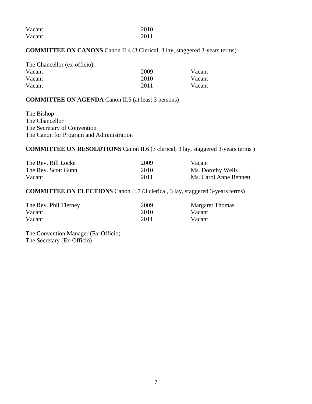| Vacant | 2010 |
|--------|------|
| Vacant | 2011 |

### **COMMITTEE ON CANONS** Canon II.4 (3 Clerical, 3 lay, staggered 3-years terms)

| The Chancellor (ex-officio) |      |        |
|-----------------------------|------|--------|
| Vacant                      | 2009 | Vacant |
| Vacant                      | 2010 | Vacant |
| Vacant                      | 2011 | Vacant |

### **COMMITTEE ON AGENDA** Canon II.5 (at least 3 persons)

The Bishop The Chancellor The Secretary of Convention The Canon for Program and Administration

### **COMMITTEE ON RESOLUTIONS** Canon II.6 (3 clerical, 3 lay, staggered 3-years terms )

| The Rev. Bill Locke | 2009 | Vacant                 |
|---------------------|------|------------------------|
| The Rev. Scott Gunn | 2010 | Ms. Dorothy Wells      |
| Vacant              | 2011 | Ms. Carol Anne Bennett |

### **COMMITTEE ON ELECTIONS** Canon II.7 (3 clerical, 3 lay, staggered 3-years terms)

| The Rev. Phil Tierney | 2009 | <b>Margaret Thomas</b> |
|-----------------------|------|------------------------|
| Vacant                | 2010 | Vacant                 |
| Vacant                | 2011 | Vacant                 |

The Convention Manager (Ex-Officio) The Secretary (Ex-Officio)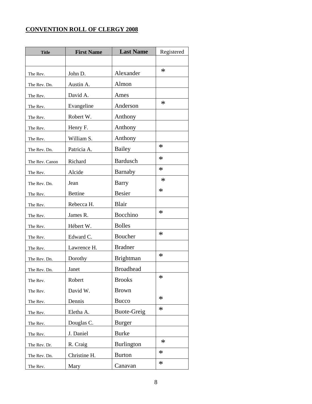### **CONVENTION ROLL OF CLERGY 2008**

| <b>Title</b>   | <b>First Name</b> | <b>Last Name</b>   | Registered |
|----------------|-------------------|--------------------|------------|
|                |                   |                    |            |
| The Rev.       | John D.           | Alexander          | $\ast$     |
| The Rev. Dn.   | Austin A.         | Almon              |            |
| The Rev.       | David A.          | Ames               |            |
| The Rev.       | Evangeline        | Anderson           | $\ast$     |
| The Rev.       | Robert W.         | Anthony            |            |
| The Rev.       | Henry F.          | Anthony            |            |
| The Rev.       | William S.        | Anthony            |            |
| The Rev. Dn.   | Patricia A.       | <b>Bailey</b>      | $\ast$     |
| The Rev. Canon | Richard           | <b>Bardusch</b>    | $\ast$     |
| The Rev.       | Alcide            | Barnaby            | $\ast$     |
| The Rev. Dn.   | Jean              | Barry              | $\ast$     |
| The Rev.       | <b>Bettine</b>    | <b>Besier</b>      | $\ast$     |
| The Rev.       | Rebecca H.        | <b>Blair</b>       |            |
| The Rev.       | James R.          | Bocchino           | $\ast$     |
| The Rev.       | Hébert W.         | <b>Bolles</b>      |            |
| The Rev.       | Edward C.         | Boucher            | $\ast$     |
| The Rev.       | Lawrence H.       | <b>Bradner</b>     |            |
| The Rev. Dn.   | Dorothy           | <b>Brightman</b>   | $\ast$     |
| The Rev. Dn.   | Janet             | <b>Broadhead</b>   |            |
| The Rev.       | Robert            | <b>Brooks</b>      | ∗          |
| The Rev.       | David W.          | <b>Brown</b>       |            |
| The Rev.       | Dennis            | <b>Bucco</b>       | $\ast$     |
| The Rev.       | Eletha A.         | <b>Buote-Greig</b> | $\ast$     |
| The Rev.       | Douglas C.        | <b>Burger</b>      |            |
| The Rev.       | J. Daniel         | <b>Burke</b>       |            |
| The Rev. Dr.   | R. Craig          | <b>Burlington</b>  | $\ast$     |
| The Rev. Dn.   | Christine H.      | <b>Burton</b>      | $\ast$     |
| The Rev.       | Mary              | Canavan            | $\ast$     |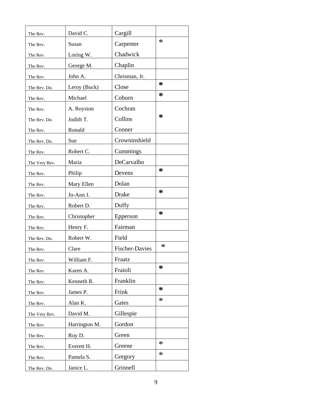| The Rev.      | David C.      | Cargill               |        |
|---------------|---------------|-----------------------|--------|
| The Rev.      | Susan         | Carpenter             | $\ast$ |
| The Rev.      | Loring W.     | Chadwick              |        |
| The Rev.      | George M.     | Chaplin               |        |
| The Rev.      | John A.       | Chrisman, Jr.         |        |
| The Rev. Dn.  | Leroy (Buck)  | Close                 | *      |
| The Rev.      | Michael       | Coburn                | ∗      |
| The Rev.      | A. Royston    | Cochran               |        |
| The Rev. Dn.  | Judith T.     | Collins               | ∗      |
| The Rev.      | Ronald        | Conner                |        |
| The Rev. Dn.  | Sue           | Crowninshield         |        |
| The Rev.      | Robert C.     | Cummings              |        |
| The Very Rev. | Maria         | DeCarvalho            |        |
| The Rev.      | Philip        | Devens                | ∗      |
| The Rev.      | Mary Ellen    | Dolan                 |        |
| The Rev.      | Jo-Ann J.     | Drake                 | ∗      |
| The Rev.      | Robert D.     | Duffy                 |        |
| The Rev.      | Christopher   | Epperson              | ∗      |
| The Rev.      | Henry F.      | Fairman               |        |
| The Rev. Dn.  | Robert W.     | Field                 |        |
| The Rev.      | Clare         | <b>Fischer-Davies</b> | $\ast$ |
| The Rev.      | William F.    | Fraatz                |        |
| The Rev.      | Karen A.      | Fraioli               | ∗      |
| The Rev.      | Kenneth R.    | Franklin              |        |
| The Rev.      | James P.      | Frink                 | ∗      |
| The Rev.      | Alan K.       | Gates                 | $\ast$ |
| The Very Rev. | David M.      | Gillespie             |        |
| The Rev.      | Harrington M. | Gordon                |        |
| The Rev.      | Roy D.        | Green                 |        |
| The Rev.      | Everett H.    | Greene                | $\ast$ |
| The Rev.      | Pamela S.     | Gregory               | $\ast$ |
| The Rev. Dn.  | Janice L.     | Grinnell              |        |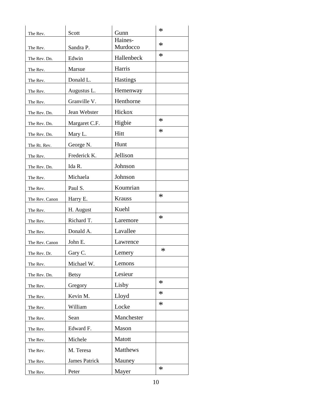| The Rev.       | Scott                | Gunn            | $\ast$ |
|----------------|----------------------|-----------------|--------|
|                |                      | Haines-         | $\ast$ |
| The Rev.       | Sandra P.            | Murdocco        |        |
| The Rev. Dn.   | Edwin                | Hallenbeck      | $\ast$ |
| The Rev.       | Marsue               | Harris          |        |
| The Rev.       | Donald L.            | <b>Hastings</b> |        |
| The Rev.       | Augustus L.          | Hemenway        |        |
| The Rev.       | Granville V.         | Henthorne       |        |
| The Rev. Dn.   | Jean Webster         | Hickox          |        |
| The Rev. Dn.   | Margaret C.F.        | Higbie          | $\ast$ |
| The Rev. Dn.   | Mary L.              | Hitt            | $\ast$ |
| The Rt. Rev.   | George N.            | Hunt            |        |
| The Rev.       | Frederick K.         | Jellison        |        |
| The Rev. Dn.   | Ida R.               | Johnson         |        |
| The Rev.       | Michaela             | Johnson         |        |
| The Rev.       | Paul S.              | Koumrian        |        |
| The Rev. Canon | Harry E.             | <b>Krauss</b>   | $\ast$ |
| The Rev.       | H. August            | Kuehl           |        |
| The Rev.       | Richard T.           | Laremore        | $\ast$ |
| The Rev.       | Donald A.            | Lavallee        |        |
| The Rev. Canon | John E.              | Lawrence        |        |
| The Rev. Dr.   | Gary C.              | Lemery          | ∗      |
| The Rev.       | Michael W.           | Lemons          |        |
| The Rev. Dn.   | <b>Betsy</b>         | Lesieur         |        |
| The Rev.       | Gregory              | Lisby           | $\ast$ |
| The Rev.       | Kevin M.             | Lloyd           | $\ast$ |
| The Rev.       | William              | Locke           | $\ast$ |
| The Rev.       | Sean                 | Manchester      |        |
| The Rev.       | Edward F.            | Mason           |        |
| The Rev.       | Michele              | Matott          |        |
| The Rev.       | M. Teresa            | Matthews        |        |
| The Rev.       | <b>James Patrick</b> | Mauney          |        |
| The Rev.       | Peter                | Mayer           | $\ast$ |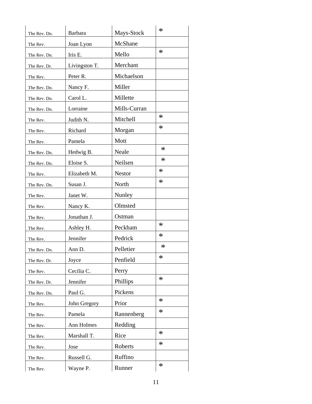| The Rev. Dn. | Barbara       | Mays-Stock    | $\ast$ |
|--------------|---------------|---------------|--------|
|              | Joan Lyon     | McShane       |        |
| The Rev.     |               |               | $\ast$ |
| The Rev. Dn. | Iris E.       | Mello         |        |
| The Rev. Dr. | Livingston T. | Merchant      |        |
| The Rev.     | Peter R.      | Michaelson    |        |
| The Rev. Dn. | Nancy F.      | Miller        |        |
| The Rev. Dn. | Carol L.      | Millette      |        |
| The Rev. Dn. | Lorraine      | Mills-Curran  |        |
| The Rev.     | Judith N.     | Mitchell      | $\ast$ |
| The Rev.     | Richard       | Morgan        | $\ast$ |
| The Rev.     | Pamela        | Mott          |        |
| The Rev. Dn. | Hedwig B.     | Neale         | $\ast$ |
| The Rev. Dn. | Eloise S.     | Neilsen       | $\ast$ |
| The Rev.     | Elizabeth M.  | <b>Nestor</b> | $\ast$ |
| The Rev. Dn. | Susan J.      | North         | $\ast$ |
| The Rev.     | Janet W.      | Nunley        |        |
| The Rev.     | Nancy K.      | Olmsted       |        |
| The Rev.     | Jonathan J.   | Ostman        |        |
| The Rev.     | Ashley H.     | Peckham       | $\ast$ |
| The Rev.     | Jennifer      | Pedrick       | $\ast$ |
| The Rev. Dn. | Ann D.        | Pelletier     | $\ast$ |
| The Rev. Dr. | Joyce         | Penfield      | $\ast$ |
| The Rev.     | Cecilia C.    | Perry         |        |
| The Rev. Dr. | Jennifer      | Phillips      | $\ast$ |
| The Rev. Dn. | Paul G.       | Pickens       |        |
| The Rev.     | John Gregory  | Prior         | $\ast$ |
| The Rev.     | Pamela        | Rannenberg    | $\ast$ |
| The Rev.     | Ann Holmes    | Redding       |        |
| The Rev.     | Marshall T.   | Rice          | $\ast$ |
| The Rev.     | Jose          | Roberts       | $\ast$ |
| The Rev.     | Russell G.    | Ruffino       |        |
| The Rev.     | Wayne P.      | Runner        | $\ast$ |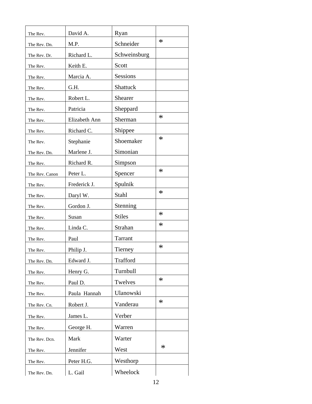| The Rev.       | David A.      | Ryan          |        |
|----------------|---------------|---------------|--------|
| The Rev. Dn.   | M.P.          | Schneider     | $\ast$ |
| The Rev. Dr.   | Richard L.    | Schweinsburg  |        |
| The Rev.       | Keith E.      | Scott         |        |
| The Rev.       | Marcia A.     | Sessions      |        |
| The Rev.       | G.H.          | Shattuck      |        |
| The Rev.       | Robert L.     | Shearer       |        |
| The Rev.       | Patricia      | Sheppard      |        |
| The Rev.       | Elizabeth Ann | Sherman       | $\ast$ |
| The Rev.       | Richard C.    | Shippee       |        |
| The Rev.       | Stephanie     | Shoemaker     | $\ast$ |
| The Rev. Dn.   | Marlene J.    | Simonian      |        |
| The Rev.       | Richard R.    | Simpson       |        |
| The Rev. Canon | Peter L.      | Spencer       | $\ast$ |
| The Rev.       | Frederick J.  | Spulnik       |        |
| The Rev.       | Daryl W.      | Stahl         | $\ast$ |
| The Rev.       | Gordon J.     | Stenning      |        |
| The Rev.       | Susan         | <b>Stiles</b> | $\ast$ |
| The Rev.       | Linda C.      | Strahan       | $\ast$ |
| The Rev.       | Paul          | Tarrant       |        |
| The Rev.       | Philip J.     | Tierney       | $\ast$ |
| The Rev. Dn.   | Edward J.     | Trafford      |        |
| The Rev.       | Henry G.      | Turnbull      |        |
| The Rev.       | Paul D.       | Twelves       | $\ast$ |
| The Rev.       | Paula Hannah  | Ulanowski     |        |
| The Rev. Cn.   | Robert J.     | Vanderau      | $\ast$ |
| The Rev.       | James L.      | Verber        |        |
| The Rev.       | George H.     | Warren        |        |
| The Rev. Dcn.  | Mark          | Warter        |        |
| The Rev.       | Jennifer      | West          | $\ast$ |
| The Rev.       | Peter H.G.    | Westhorp      |        |
| The Rev. Dn.   | L. Gail       | Wheelock      |        |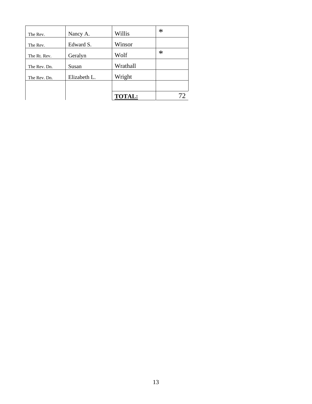| The Rev.     | Nancy A.     | Willis        | $\ast$ |
|--------------|--------------|---------------|--------|
| The Rev.     | Edward S.    | Winsor        |        |
| The Rt. Rev. | Geralyn      | Wolf          | $\ast$ |
| The Rev. Dn. | Susan        | Wrathall      |        |
| The Rev. Dn. | Elizabeth L. | Wright        |        |
|              |              |               |        |
|              |              | <b>TOTAL:</b> |        |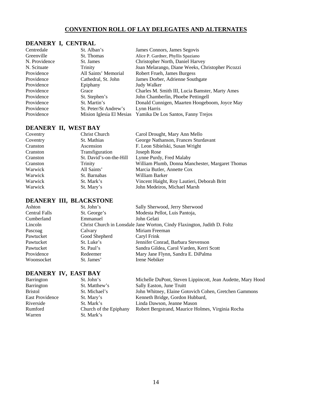### **CONVENTION ROLL OF LAY DELEGATES AND ALTERNATES**

### **DEANERY I, CENTRAL**

| Centredale    | St. Alban's              | James Connors, James Segovis                     |
|---------------|--------------------------|--------------------------------------------------|
| Greenville    | St. Thomas               | Alice P. Gardner, Phyllis Spaziano               |
| N. Providence | St. James                | Christopher North, Daniel Harvey                 |
| N. Scituate   | Trinity                  | Joan Melarango, Diane Weeks, Christopher Picozzi |
| Providence    | All Saints' Memorial     | Robert Frueh, James Burgess                      |
| Providence    | Cathedral, St. John      | James Dorber, Adrienne Southgate                 |
| Providence    | Epiphany                 | Judy Walker                                      |
| Providence    | Grace                    | Charles M. Smith III, Lucia Bamster, Marty Ames  |
| Providence    | St. Stephen's            | John Chamberlin, Phoebe Pettingell               |
| Providence    | St. Martin's             | Donald Cunnigen, Maarten Hoogeboom, Joyce May    |
| Providence    | St. Peter/St Andrew's    | Lynn Harris                                      |
| Providence    | Mision Iglesia El Mesias | Yamika De Los Santos, Fanny Trejos               |

### **DEANERY II, WEST BAY**

| Coventry | Christ Church           | Carol Drought, Mary Ann Mello                    |
|----------|-------------------------|--------------------------------------------------|
| Coventry | St. Mathias             | George Nathanson, Frances Sturdavant             |
| Cranston | Ascension               | F. Leon Sibielski, Susan Wright                  |
| Cranston | Transfiguration         | Joseph Rose                                      |
| Cranston | St. David's-on-the-Hill | Lynne Purdy, Fred Malaby                         |
| Cranston | <b>Trinity</b>          | William Plumb, Donna Manchester, Margaret Thomas |
| Warwick  | All Saints'             | Marcia Butler, Annette Cox                       |
| Warwick  | St. Barnabas            | William Barker                                   |
| Warwick  | St. Mark's              | Vincent Haight, Roy Lautieri, Deborah Britt      |
| Warwick  | St. Mary's              | John Medeiros, Michael Marsh                     |

### **DEANERY III, BLACKSTONE**

| Ashton               | St. John's    | Sally Sherwood, Jerry Sherwood                                           |
|----------------------|---------------|--------------------------------------------------------------------------|
| <b>Central Falls</b> | St. George's  | Modesta Pellot, Luis Pantoja,                                            |
| Cumberland           | Emmanuel      | John Gelati                                                              |
| Lincoln              |               | Christ Church in Lonsdale Jane Worton, Cindy Flaxington, Judith D. Foltz |
| Pascoag              | Calvary       | Miriam Freeman                                                           |
| Pawtucket            | Good Shepherd | Caryl Frink                                                              |
| Pawtucket            | St. Luke's    | Jennifer Conrad, Barbara Stevenson                                       |
| Pawtucket            | St. Paul's    | Sandra Gildea, Carol Varden, Kerri Scott                                 |
| Providence           | Redeemer      | Mary Jane Flynn, Sandra E. DiPalma                                       |
| Woonsocket           | St. James'    | Irene Nebiker                                                            |

### **DEANERY IV, EAST BAY**

| St. John's             | Michelle DuPont, Steven Lippincott, Jean Audette, Mary Hood |
|------------------------|-------------------------------------------------------------|
| St. Matthew's          | Sally Easton, June Truitt                                   |
| St. Michael's          | John Whitney, Elaine Gotovich Cohen, Gretchen Gammons       |
| St. Mary's             | Kenneth Bridge, Gordon Hubbard,                             |
| St. Mark's             | Linda Dawson, Jeanne Mason                                  |
| Church of the Epiphany | Robert Bergstrand, Maurice Holmes, Virginia Rocha           |
| St. Mark's             |                                                             |
|                        |                                                             |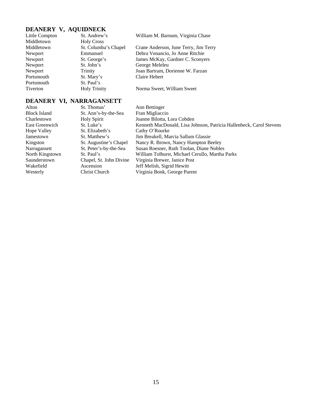| DEANERY V, AQUIDNECK |                      |                                       |  |
|----------------------|----------------------|---------------------------------------|--|
| Little Compton       | St. Andrew's         | William M. Barnum, Virginia Chase     |  |
| Middletown           | <b>Holy Cross</b>    |                                       |  |
| Middletown           | St. Columba's Chapel | Crane Anderson, June Terry, Jim Terry |  |
| Newport              | Emmanuel             | Debra Venancio, Jo Anne Ritchie       |  |
| Newport              | St. George's         | James McKay, Gardner C. Sconyers      |  |
| Newport              | St. John's           | George Meleleu                        |  |
| Newport              | <b>Trinity</b>       | Joan Bartram, Dorienne W. Farzan      |  |
| Portsmouth           | St. Mary's           | Claire Hebert                         |  |
| Portsmouth           | St. Paul's           |                                       |  |
| Tiverton             | <b>Holy Trinity</b>  | Norma Sweet, William Sweet            |  |

## **DEANERY VI, NARRAGANSETT**<br>Alton St. Thomas'

| St. Thomas'             | Ann Bettinger                                                       |
|-------------------------|---------------------------------------------------------------------|
| St. Ann's-by-the-Sea    | Fran Migliaccio                                                     |
| <b>Holy Spirit</b>      | Joanne Bilotta, Lora Cobden                                         |
| St. Luke's              | Kenneth MacDonald, Lisa Johnson, Patricia Hallenbeck, Carol Stevens |
| St. Elizabeth's         | Cathy O'Rourke                                                      |
| St. Matthew's           | Jim Breakell, Marcia Sallum Glassie                                 |
| St. Augustine's Chapel  | Nancy R. Brown, Nancy Hampton Beeley                                |
| St. Peter's-by-the-Sea  | Susan Roesner, Ruth Toolan, Diane Nobles                            |
| St. Paul's              | William Tolhurst, Michael Cerullo, Martha Parks                     |
| Chapel, St. John Divine | Virginia Brewer, Janice Post                                        |
| Ascension               | Jeff Melish, Sigrid Hewitt                                          |
| Christ Church           | Virginia Bonk, George Parent                                        |
|                         |                                                                     |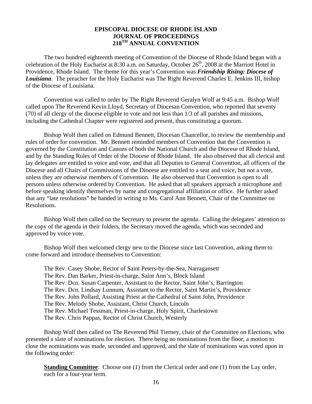### **EPISCOPAL DIOCESE OF RHODE ISLAND JOURNAL OF PROCEEDINGS 218TH ANNUAL CONVENTION**

 The two hundred eighteenth meeting of Convention of the Diocese of Rhode Island began with a celebration of the Holy Eucharist at 8:30 a.m. on Saturday, October 26<sup>th</sup>, 2008 at the Marriott Hotel in Providence, Rhode Island. The theme for this year's Convention was *Friendship Rising: Diocese of Louisiana*. The preacher for the Holy Eucharist was The Right Reverend Charles E. Jenkins III, bishop of the Diocese of Louisiana.

 Convention was called to order by The Right Reverend Geralyn Wolf at 9:45 a.m. Bishop Wolf called upon The Reverend Kevin Lloyd, Secretary of Diocesan Convention, who reported that seventy (70) of all clergy of the diocese eligible to vote and not less than 1/3 of all parishes and missions, including the Cathedral Chapter were registered and present, thus constituting a quorum.

 Bishop Wolf then called on Edmund Bennett, Diocesan Chancellor, to review the membership and rules of order for convention. Mr. Bennett reminded members of Convention that the Convention is governed by the Constitution and Canons of both the National Church and the Diocese of Rhode Island, and by the Standing Rules of Order of the Diocese of Rhode Island. He also observed that all clerical and lay delegates are entitled to voice and vote, and that all Deputies to General Convention, all officers of the Diocese and all Chairs of Commissions of the Diocese are entitled to a seat and voice, but not a vote, unless they are otherwise members of Convention. He also observed that Convention is open to all persons unless otherwise ordered by Convention. He asked that all speakers approach a microphone and before speaking identify themselves by name and congregational affiliation or office. He further asked that any "late resolutions" be handed in writing to Ms. Carol Ann Bennett, Chair of the Committee on Resolutions.

 Bishop Wolf then called on the Secretary to present the agenda. Calling the delegates' attention to the copy of the agenda in their folders, the Secretary moved the agenda, which was seconded and approved by voice vote.

 Bishop Wolf then welcomed clergy new to the Diocese since last Convention, asking them to come forward and introduce themselves to Convention:

| The Rev. Casey Shobe, Rector of Saint Peters-by-the-Sea, Narragansett              |
|------------------------------------------------------------------------------------|
| The Rev. Dan Barker, Priest-in-charge, Saint Ann's, Block Island                   |
| The Rev. Don. Susan Carpenter, Assistant to the Rector, Saint John's, Barrington   |
| The Rev. Dcn. Lindsay Lunnum, Assistant to the Rector, Saint Martin's, Providence  |
| The Rev. John Pollard, Assisting Priest at the Cathedral of Saint John, Providence |
| The Rev. Melody Shobe, Assistant, Christ Church, Lincoln                           |
| The Rev. Michael Tessman, Priest-in-charge, Holy Spirit, Charlestown               |
| The Rev. Chris Pappas, Rector of Christ Church, Westerly                           |
|                                                                                    |

 Bishop Wolf then called on The Reverend Phil Tierney, chair of the Committee on Elections, who presented a slate of nominations for election. There being no nominations from the floor, a motion to close the nominations was made, seconded and approved, and the slate of nominations was voted upon in the following order:

**Standing Committee:** Choose one (1) from the Clerical order and one (1) from the Lay order, each for a four-year term.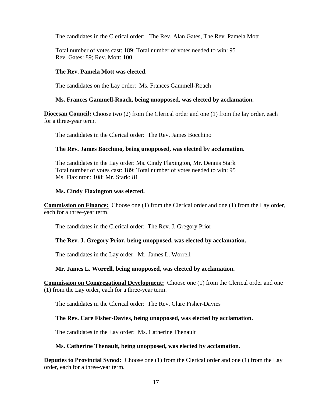The candidates in the Clerical order: The Rev. Alan Gates, The Rev. Pamela Mott

Total number of votes cast: 189; Total number of votes needed to win: 95 Rev. Gates: 89; Rev. Mott: 100

### **The Rev. Pamela Mott was elected.**

The candidates on the Lay order: Ms. Frances Gammell-Roach

### **Ms. Frances Gammell-Roach, being unopposed, was elected by acclamation.**

**Diocesan Council:** Choose two (2) from the Clerical order and one (1) from the lay order, each for a three-year term.

The candidates in the Clerical order: The Rev. James Bocchino

### **The Rev. James Bocchino, being unopposed, was elected by acclamation.**

The candidates in the Lay order: Ms. Cindy Flaxington, Mr. Dennis Stark Total number of votes cast: 189; Total number of votes needed to win: 95 Ms. Flaxinton: 108; Mr. Stark: 81

### **Ms. Cindy Flaxington was elected.**

**Commission on Finance:** Choose one (1) from the Clerical order and one (1) from the Lay order, each for a three-year term.

The candidates in the Clerical order: The Rev. J. Gregory Prior

### **The Rev. J. Gregory Prior, being unopposed, was elected by acclamation.**

The candidates in the Lay order: Mr. James L. Worrell

### **Mr. James L. Worrell, being unopposed, was elected by acclamation.**

**Commission on Congregational Development:** Choose one (1) from the Clerical order and one (1) from the Lay order, each for a three-year term.

The candidates in the Clerical order: The Rev. Clare Fisher-Davies

### **The Rev. Care Fisher-Davies, being unopposed, was elected by acclamation.**

The candidates in the Lay order: Ms. Catherine Thenault

### **Ms. Catherine Thenault, being unopposed, was elected by acclamation.**

**Deputies to Provincial Synod:** Choose one (1) from the Clerical order and one (1) from the Lay order, each for a three-year term.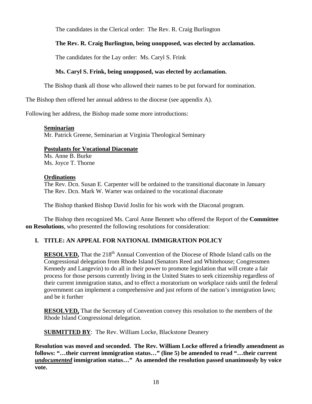The candidates in the Clerical order: The Rev. R. Craig Burlington

### **The Rev. R. Craig Burlington, being unopposed, was elected by acclamation.**

The candidates for the Lay order: Ms. Caryl S. Frink

### **Ms. Caryl S. Frink, being unopposed, was elected by acclamation.**

The Bishop thank all those who allowed their names to be put forward for nomination.

The Bishop then offered her annual address to the diocese (see appendix A).

Following her address, the Bishop made some more introductions:

### **Seminarian**

Mr. Patrick Greene, Seminarian at Virginia Theological Seminary

### **Postulants for Vocational Diaconate**

 Ms. Anne B. Burke Ms. Joyce T. Thorne

### **Ordinations**

 The Rev. Dcn. Susan E. Carpenter will be ordained to the transitional diaconate in January The Rev. Dcn. Mark W. Warter was ordained to the vocational diaconate

The Bishop thanked Bishop David Joslin for his work with the Diaconal program.

 The Bishop then recognized Ms. Carol Anne Bennett who offered the Report of the **Committee on Resolutions**, who presented the following resolutions for consideration:

### **I. TITLE: AN APPEAL FOR NATIONAL IMMIGRATION POLICY**

**RESOLVED,** That the 218<sup>th</sup> Annual Convention of the Diocese of Rhode Island calls on the Congressional delegation from Rhode Island (Senators Reed and Whitehouse; Congressmen Kennedy and Langevin) to do all in their power to promote legislation that will create a fair process for those persons currently living in the United States to seek citizenship regardless of their current immigration status, and to effect a moratorium on workplace raids until the federal government can implement a comprehensive and just reform of the nation's immigration laws; and be it further

**RESOLVED,** That the Secretary of Convention convey this resolution to the members of the Rhode Island Congressional delegation.

**SUBMITTED BY:** The Rev. William Locke, Blackstone Deanery

**Resolution was moved and seconded. The Rev. William Locke offered a friendly amendment as follows: "…their current immigration status…" (line 5) be amended to read "…their current**  *undocumented* **immigration status…" As amended the resolution passed unanimously by voice vote.**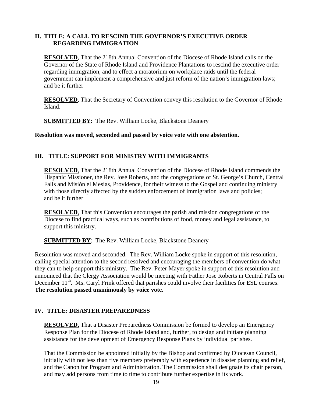### **II. TITLE: A CALL TO RESCIND THE GOVERNOR'S EXECUTIVE ORDER REGARDING IMMIGRATION**

**RESOLVED**, That the 218th Annual Convention of the Diocese of Rhode Island calls on the Governor of the State of Rhode Island and Providence Plantations to rescind the executive order regarding immigration, and to effect a moratorium on workplace raids until the federal government can implement a comprehensive and just reform of the nation's immigration laws; and be it further

**RESOLVED**, That the Secretary of Convention convey this resolution to the Governor of Rhode Island.

**SUBMITTED BY**: The Rev. William Locke, Blackstone Deanery

**Resolution was moved, seconded and passed by voice vote with one abstention.** 

### **III. TITLE: SUPPORT FOR MINISTRY WITH IMMIGRANTS**

**RESOLVED**, That the 218th Annual Convention of the Diocese of Rhode Island commends the Hispanic Missioner, the Rev. José Roberts, and the congregations of St. George's Church, Central Falls and Misión el Mesías, Providence, for their witness to the Gospel and continuing ministry with those directly affected by the sudden enforcement of immigration laws and policies; and be it further

**RESOLVED**, That this Convention encourages the parish and mission congregations of the Diocese to find practical ways, such as contributions of food, money and legal assistance, to support this ministry.

**SUBMITTED BY:** The Rev. William Locke, Blackstone Deanery

Resolution was moved and seconded. The Rev. William Locke spoke in support of this resolution, calling special attention to the second resolved and encouraging the members of convention do what they can to help support this ministry. The Rev. Peter Mayer spoke in support of this resolution and announced that the Clergy Association would be meeting with Father Jose Roberts in Central Falls on December 11<sup>th</sup>. Ms. Caryl Frink offered that parishes could involve their facilities for ESL courses. **The resolution passed unanimously by voice vote.** 

### **IV. TITLE: DISASTER PREPAREDNESS**

**RESOLVED,** That a Disaster Preparedness Commission be formed to develop an Emergency Response Plan for the Diocese of Rhode Island and, further, to design and initiate planning assistance for the development of Emergency Response Plans by individual parishes.

That the Commission be appointed initially by the Bishop and confirmed by Diocesan Council, initially with not less than five members preferably with experience in disaster planning and relief, and the Canon for Program and Administration. The Commission shall designate its chair person, and may add persons from time to time to contribute further expertise in its work.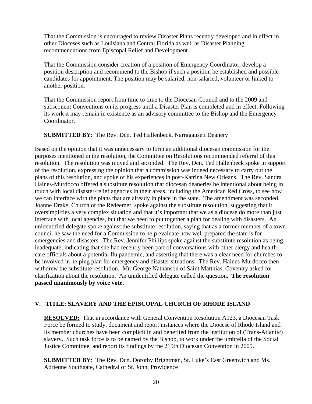That the Commission is encouraged to review Disaster Plans recently developed and in effect in other Dioceses such as Louisiana and Central Florida as well as Disaster Planning recommendations from Episcopal Relief and Development..

That the Commission consider creation of a position of Emergency Coordinator, develop a position description and recommend to the Bishop if such a position be established and possible candidates for appointment. The position may be salaried, non-salaried, volunteer or linked to another position.

That the Commission report from time to time to the Diocesan Council and to the 2009 and subsequent Conventions on its progress until a Disaster Plan is completed and in effect. Following its work it may remain in existence as an advisory committee to the Bishop and the Emergency Coordinator.

### **SUBMITTED BY:** The Rev. Dcn. Ted Hallenbeck, Narragansett Deanery

Based on the opinion that it was unnecessary to form an additional diocesan commission for the purposes mentioned in the resolution, the Committee on Resolutions recommended referral of this resolution. The resolution was moved and seconded. The Rev. Dcn. Ted Hallenbeck spoke in support of the resolution, expressing the opinion that a commission was indeed necessary to carry out the plans of this resolution, and spoke of his experiences in post-Katrina New Orleans. The Rev. Sandra Haines-Murdocco offered a substitute resolution that diocesan deaneries be intentional about being in touch with local disaster-relief agencies in their areas, including the American Red Cross, to see how we can interface with the plans that are already in place in the state. The amendment was seconded. Joanne Drake, Church of the Redeemer, spoke against the substitute resolution, suggesting that it oversimplifies a very complex situation and that it's important that we as a diocese do more than just interface with local agencies, but that we need to put together a plan for dealing with disasters. An unidentified delegate spoke against the substitute resolution, saying that as a former member of a town council he saw the need for a Commission to help evaluate how well prepared the state is for emergencies and disasters. The Rev. Jennifer Phillips spoke against the substitute resolution as being inadequate, indicating that she had recently been part of conversations with other clergy and healthcare officials about a potential flu pandemic, and asserting that there was a clear need for churches to be involved in helping plan for emergency and disaster situations. The Rev. Haines-Murdocco then withdrew the substitute resolution. Mr. George Nathanson of Saint Matthias, Coventry asked for clarification about the resolution. An unidentified delegate called the question. **The resolution passed unanimously by voice vote.** 

### **V. TITLE: SLAVERY AND THE EPISCOPAL CHURCH OF RHODE ISLAND**

**RESOLVED:** That in accordance with General Convention Resolution A123, a Diocesan Task Force be formed to study, document and report instances where the Diocese of Rhode Island and its member churches have been complicit in and benefited from the institution of (Trans-Atlantic) slavery. Such task force is to be named by the Bishop, to work under the umbrella of the Social Justice Committee, and report its findings by the 219th Diocesan Convention in 2009.

**SUBMITTED BY:** The Rev. Dcn. Dorothy Brightman, St. Luke's East Greenwich and Ms. Adrienne Southgate, Cathedral of St. John, Providence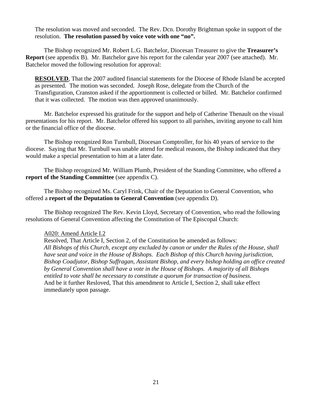The resolution was moved and seconded. The Rev. Dcn. Dorothy Brightman spoke in support of the resolution. **The resolution passed by voice vote with one "no".** 

 The Bishop recognized Mr. Robert L.G. Batchelor, Diocesan Treasurer to give the **Treasurer's Report** (see appendix B). Mr. Batchelor gave his report for the calendar year 2007 (see attached). Mr. Batchelor moved the following resolution for approval:

**RESOLVED**, That the 2007 audited financial statements for the Diocese of Rhode Island be accepted as presented. The motion was seconded. Joseph Rose, delegate from the Church of the Transfiguration, Cranston asked if the apportionment is collected or billed. Mr. Batchelor confirmed that it was collected. The motion was then approved unanimously.

 Mr. Batchelor expressed his gratitude for the support and help of Catherine Thenault on the visual presentations for his report. Mr. Batchelor offered his support to all parishes, inviting anyone to call him or the financial office of the diocese.

 The Bishop recognized Ron Turnbull, Diocesan Comptroller, for his 40 years of service to the diocese. Saying that Mr. Turnbull was unable attend for medical reasons, the Bishop indicated that they would make a special presentation to him at a later date.

 The Bishop recognized Mr. William Plumb, President of the Standing Committee, who offered a **report of the Standing Committee** (see appendix C).

 The Bishop recognized Ms. Caryl Frink, Chair of the Deputation to General Convention, who offered a **report of the Deputation to General Convention** (see appendix D).

 The Bishop recognized The Rev. Kevin Lloyd, Secretary of Convention, who read the following resolutions of General Convention affecting the Constitution of The Episcopal Church:

### A020: Amend Article I.2

Resolved, That Article I, Section 2, of the Constitution be amended as follows: *All Bishops of this Church, except any excluded by canon or under the Rules of the House, shall have seat and voice in the House of Bishops. Each Bishop of this Church having jurisdiction, Bishop Coadjutor, Bishop Suffragan, Assistant Bishop, and every bishop holding an office created by General Convention shall have a vote in the House of Bishops. A majority of all Bishops entitled to vote shall be necessary to constitute a quorum for transaction of business.*  And be it further Resloved, That this amendment to Article I, Section 2, shall take effect immediately upon passage.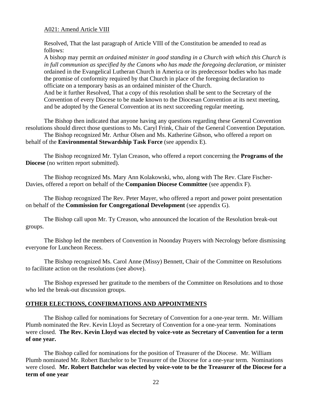### A021: Amend Article VIII

Resolved, That the last paragraph of Article VIII of the Constitution be amended to read as follows:

A bishop may permit *an ordained minister in good standing in a Church with which this Church is in full communion as specified by the Canons who has made the foregoing declaration, or* minister ordained in the Evangelical Lutheran Church in America or its predecessor bodies who has made the promise of conformity required by that Church in place of the foregoing declaration to officiate on a temporary basis as an ordained minister of the Church.

And be it further Resolved, That a copy of this resolution shall be sent to the Secretary of the Convention of every Diocese to be made known to the Diocesan Convention at its next meeting, and be adopted by the General Convention at its next succeeding regular meeting.

 The Bishop then indicated that anyone having any questions regarding these General Convention resolutions should direct those questions to Ms. Caryl Frink, Chair of the General Convention Deputation. The Bishop recognized Mr. Arthur Olsen and Ms. Katherine Gibson, who offered a report on behalf of the **Environmental Stewardship Task Force** (see appendix E).

 The Bishop recognized Mr. Tylan Creason, who offered a report concerning the **Programs of the Diocese** (no written report submitted).

 The Bishop recognized Ms. Mary Ann Kolakowski, who, along with The Rev. Clare Fischer-Davies, offered a report on behalf of the **Companion Diocese Committee** (see appendix F).

 The Bishop recognized The Rev. Peter Mayer, who offered a report and power point presentation on behalf of the **Commission for Congregational Development** (see appendix G).

 The Bishop call upon Mr. Ty Creason, who announced the location of the Resolution break-out groups.

 The Bishop led the members of Convention in Noonday Prayers with Necrology before dismissing everyone for Luncheon Recess.

 The Bishop recognized Ms. Carol Anne (Missy) Bennett, Chair of the Committee on Resolutions to facilitate action on the resolutions (see above).

 The Bishop expressed her gratitude to the members of the Committee on Resolutions and to those who led the break-out discussion groups.

### **OTHER ELECTIONS, CONFIRMATIONS AND APPOINTMENTS**

 The Bishop called for nominations for Secretary of Convention for a one-year term. Mr. William Plumb nominated the Rev. Kevin Lloyd as Secretary of Convention for a one-year term. Nominations were closed. **The Rev. Kevin Lloyd was elected by voice-vote as Secretary of Convention for a term of one year.**

 The Bishop called for nominations for the position of Treasurer of the Diocese. Mr. William Plumb nominated Mr. Robert Batchelor to be Treasurer of the Diocese for a one-year term. Nominations were closed. **Mr. Robert Batchelor was elected by voice-vote to be the Treasurer of the Diocese for a term of one year**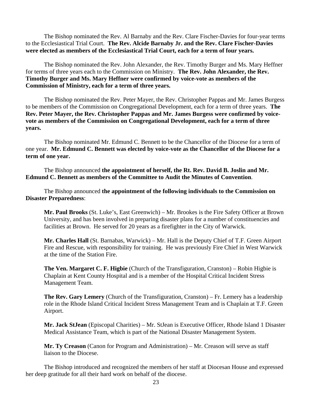The Bishop nominated the Rev. Al Barnaby and the Rev. Clare Fischer-Davies for four-year terms to the Ecclesiastical Trial Court. **The Rev. Alcide Barnaby Jr. and the Rev. Clare Fischer-Davies were elected as members of the Ecclesiastical Trial Court, each for a term of four years.** 

The Bishop nominated the Rev. John Alexander, the Rev. Timothy Burger and Ms. Mary Heffner for terms of three years each to the Commission on Ministry. **The Rev. John Alexander, the Rev. Timothy Burger and Ms. Mary Heffner were confirmed by voice-vote as members of the Commission of Ministry, each for a term of three years.** 

The Bishop nominated the Rev. Peter Mayer, the Rev. Christopher Pappas and Mr. James Burgess to be members of the Commission on Congregational Development, each for a term of three years. **The Rev. Peter Mayer, the Rev. Christopher Pappas and Mr. James Burgess were confirmed by voicevote as members of the Commission on Congregational Development, each for a term of three years.** 

 The Bishop nominated Mr. Edmund C. Bennett to be the Chancellor of the Diocese for a term of one year. **Mr. Edmund C. Bennett was elected by voice-vote as the Chancellor of the Diocese for a term of one year.** 

 The Bishop announced **the appointment of herself, the Rt. Rev. David B. Joslin and Mr. Edmund C. Bennett as members of the Committee to Audit the Minutes of Convention**.

 The Bishop announced **the appointment of the following individuals to the Commission on Disaster Preparedness**:

**Mr. Paul Brooks** (St. Luke's, East Greenwich) – Mr. Brookes is the Fire Safety Officer at Brown University, and has been involved in preparing disaster plans for a number of constituencies and facilities at Brown. He served for 20 years as a firefighter in the City of Warwick.

**Mr. Charles Hall** (St. Barnabas, Warwick) – Mr. Hall is the Deputy Chief of T.F. Green Airport Fire and Rescue, with responsibility for training. He was previously Fire Chief in West Warwick at the time of the Station Fire.

**The Ven. Margaret C. F. Higbie** (Church of the Transfiguration, Cranston) – Robin Higbie is Chaplain at Kent County Hospital and is a member of the Hospital Critical Incident Stress Management Team.

**The Rev. Gary Lemery** (Church of the Transfiguration, Cranston) – Fr. Lemery has a leadership role in the Rhode Island Critical Incident Stress Management Team and is Chaplain at T.F. Green Airport.

**Mr. Jack StJean** (Episcopal Charities) – Mr. StJean is Executive Officer, Rhode Island 1 Disaster Medical Assistance Team, which is part of the National Disaster Management System.

**Mr. Ty Creason** (Canon for Program and Administration) – Mr. Creason will serve as staff liaison to the Diocese.

 The Bishop introduced and recognized the members of her staff at Diocesan House and expressed her deep gratitude for all their hard work on behalf of the diocese.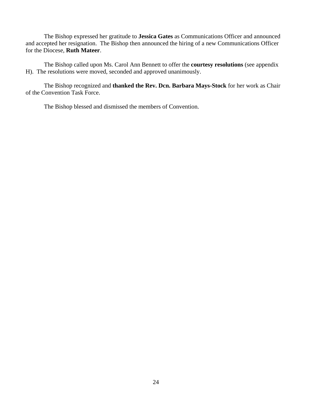The Bishop expressed her gratitude to **Jessica Gates** as Communications Officer and announced and accepted her resignation. The Bishop then announced the hiring of a new Communications Officer for the Diocese, **Ruth Mateer**.

 The Bishop called upon Ms. Carol Ann Bennett to offer the **courtesy resolutions** (see appendix H). The resolutions were moved, seconded and approved unanimously.

 The Bishop recognized and **thanked the Rev. Dcn. Barbara Mays-Stock** for her work as Chair of the Convention Task Force.

The Bishop blessed and dismissed the members of Convention.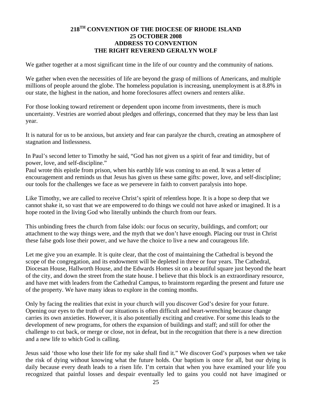### **218TH CONVENTION OF THE DIOCESE OF RHODE ISLAND 25 OCTOBER 2008 ADDRESS TO CONVENTION THE RIGHT REVEREND GERALYN WOLF**

We gather together at a most significant time in the life of our country and the community of nations.

We gather when even the necessities of life are beyond the grasp of millions of Americans, and multiple millions of people around the globe. The homeless population is increasing, unemployment is at 8.8% in our state, the highest in the nation, and home foreclosures affect owners and renters alike.

For those looking toward retirement or dependent upon income from investments, there is much uncertainty. Vestries are worried about pledges and offerings, concerned that they may be less than last year.

It is natural for us to be anxious, but anxiety and fear can paralyze the church, creating an atmosphere of stagnation and listlessness.

In Paul's second letter to Timothy he said, "God has not given us a spirit of fear and timidity, but of power, love, and self-discipline."

Paul wrote this epistle from prison, when his earthly life was coming to an end. It was a letter of encouragement and reminds us that Jesus has given us these same gifts: power, love, and self-discipline; our tools for the challenges we face as we persevere in faith to convert paralysis into hope.

Like Timothy, we are called to receive Christ's spirit of relentless hope. It is a hope so deep that we cannot shake it, so vast that we are empowered to do things we could not have asked or imagined. It is a hope rooted in the living God who literally unbinds the church from our fears.

This unbinding frees the church from false idols: our focus on security, buildings, and comfort; our attachment to the way things were, and the myth that we don't have enough. Placing our trust in Christ these false gods lose their power, and we have the choice to live a new and courageous life.

Let me give you an example. It is quite clear, that the cost of maintaining the Cathedral is beyond the scope of the congregation, and its endowment will be depleted in three or four years. The Cathedral, Diocesan House, Hallworth House, and the Edwards Homes sit on a beautiful square just beyond the heart of the city, and down the street from the state house. I believe that this block is an extraordinary resource, and have met with leaders from the Cathedral Campus, to brainstorm regarding the present and future use of the property. We have many ideas to explore in the coming months.

Only by facing the realities that exist in your church will you discover God's desire for your future. Opening our eyes to the truth of our situations is often difficult and heart-wrenching because change carries its own anxieties. However, it is also potentially exciting and creative. For some this leads to the development of new programs, for others the expansion of buildings and staff; and still for other the challenge to cut back, or merge or close, not in defeat, but in the recognition that there is a new direction and a new life to which God is calling.

Jesus said 'those who lose their life for my sake shall find it." We discover God's purposes when we take the risk of dying without knowing what the future holds. Our baptism is once for all, but our dying is daily because every death leads to a risen life. I'm certain that when you have examined your life you recognized that painful losses and despair eventually led to gains you could not have imagined or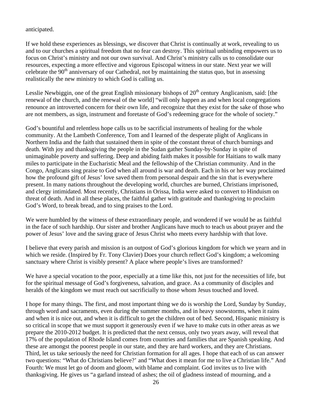anticipated.

If we hold these experiences as blessings, we discover that Christ is continually at work, revealing to us and to our churches a spiritual freedom that no fear can destroy. This spiritual unbinding empowers us to focus on Christ's ministry and not our own survival. And Christ's ministry calls us to consolidate our resources, expecting a more effective and vigorous Episcopal witness in our state. Next year we will celebrate the 90<sup>th</sup> anniversary of our Cathedral, not by maintaining the status quo, but in assessing realistically the new ministry to which God is calling us.

Lesslie Newbiggin, one of the great English missionary bishops of  $20<sup>th</sup>$  century Anglicanism, said: [the renewal of the church, and the renewal of the world] "will only happen as and when local congregations renounce an introverted concern for their own life, and recognize that they exist for the sake of those who are not members, as sign, instrument and foretaste of God's redeeming grace for the whole of society."

God's bountiful and relentless hope calls us to be sacrificial instruments of healing for the whole community. At the Lambeth Conference, Tom and I learned of the desperate plight of Anglicans in Northern India and the faith that sustained them in spite of the constant threat of church burnings and death. With joy and thanksgiving the people in the Sudan gather Sunday-by-Sunday in spite of unimaginable poverty and suffering. Deep and abiding faith makes it possible for Haitians to walk many miles to participate in the Eucharistic Meal and the fellowship of the Christian community. And in the Congo, Anglicans sing praise to God when all around is war and death. Each in his or her way proclaimed how the profound gift of Jesus' love saved them from personal despair and the sin that is everywhere present. In many nations throughout the developing world, churches are burned, Christians imprisoned, and clergy intimidated. Most recently, Christians in Orissa, India were asked to convert to Hinduism on threat of death. And in all these places, the faithful gather with gratitude and thanksgiving to proclaim God's Word, to break bread, and to sing praises to the Lord.

We were humbled by the witness of these extraordinary people, and wondered if we would be as faithful in the face of such hardship. Our sister and brother Anglicans have much to teach us about prayer and the power of Jesus' love and the saving grace of Jesus Christ who meets every hardship with that love.

I believe that every parish and mission is an outpost of God's glorious kingdom for which we yearn and in which we reside. (Inspired by Fr. Tony Clavier) Does your church reflect God's kingdom; a welcoming sanctuary where Christ is visibly present? A place where people's lives are transformed?

We have a special vocation to the poor, especially at a time like this, not just for the necessities of life, but for the spiritual message of God's forgiveness, salvation, and grace. As a community of disciples and heralds of the kingdom we must reach out sacrificially to those whom Jesus touched and loved.

I hope for many things. The first, and most important thing we do is worship the Lord, Sunday by Sunday, through word and sacraments, even during the summer months, and in heavy snowstorms, when it rains and when it is nice out, and when it is difficult to get the children out of bed. Second, Hispanic ministry is so critical in scope that we must support it generously even if we have to make cuts in other areas as we prepare the 2010-2012 budget. It is predicted that the next census, only two years away, will reveal that 17% of the population of Rhode Island comes from countries and families that are Spanish speaking. And these are amongst the poorest people in our state, and they are hard workers, and they are Christians. Third, let us take seriously the need for Christian formation for all ages. I hope that each of us can answer two questions: "What do Christians believe?' and "What does it mean for me to live a Christian life." And Fourth: We must let go of doom and gloom, with blame and complaint. God invites us to live with thanksgiving. He gives us "a garland instead of ashes; the oil of gladness instead of mourning, and a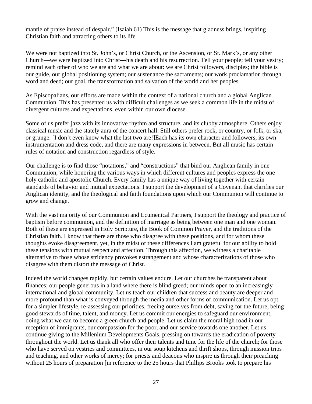mantle of praise instead of despair." (Isaiah 61) This is the message that gladness brings, inspiring Christian faith and attracting others to its life.

We were not baptized into St. John's, or Christ Church, or the Ascension, or St. Mark's, or any other Church—we were baptized into Christ---his death and his resurrection. Tell your people; tell your vestry; remind each other of who we are and what we are about: we are Christ followers, disciples; the bible is our guide, our global positioning system; our sustenance the sacraments; our work proclamation through word and deed; our goal, the transformation and salvation of the world and her peoples.

As Episcopalians, our efforts are made within the context of a national church and a global Anglican Communion. This has presented us with difficult challenges as we seek a common life in the midst of divergent cultures and expectations, even within our own diocese.

Some of us prefer jazz with its innovative rhythm and structure, and its clubby atmosphere. Others enjoy classical music and the stately aura of the concert hall. Still others prefer rock, or country, or folk, or ska, or grunge. [I don't even know what the last two are!]Each has its own character and followers, its own instrumentation and dress code, and there are many expressions in between. But all music has certain rules of notation and construction regardless of style.

Our challenge is to find those "notations," and "constructions" that bind our Anglican family in one Communion, while honoring the various ways in which different cultures and peoples express the one holy catholic and apostolic Church. Every family has a unique way of living together with certain standards of behavior and mutual expectations. I support the development of a Covenant that clarifies our Anglican identity, and the theological and faith foundations upon which our Communion will continue to grow and change.

With the vast majority of our Communion and Ecumenical Partners, I support the theology and practice of baptism before communion, and the definition of marriage as being between one man and one woman. Both of these are expressed in Holy Scripture, the Book of Common Prayer, and the traditions of the Christian faith. I know that there are those who disagree with these positions, and for whom these thoughts evoke disagreement, yet, in the midst of these differences I am grateful for our ability to hold these tensions with mutual respect and affection. Through this affection, we witness a charitable alternative to those whose stridency provokes estrangement and whose characterizations of those who disagree with them distort the message of Christ.

Indeed the world changes rapidly, but certain values endure. Let our churches be transparent about finances; our people generous in a land where there is blind greed; our minds open to an increasingly international and global community. Let us teach our children that success and beauty are deeper and more profound than what is conveyed through the media and other forms of communication. Let us opt for a simpler lifestyle, re-assessing our priorities, freeing ourselves from debt, saving for the future, being good stewards of time, talent, and money. Let us commit our energies to safeguard our environment, doing what we can to become a green church and people. Let us claim the moral high road in our reception of immigrants, our compassion for the poor, and our service towards one another. Let us continue giving to the Millenium Developments Goals, pressing on towards the eradication of poverty throughout the world. Let us thank all who offer their talents and time for the life of the church; for those who have served on vestries and committees, in our soup kitchens and thrift shops, through mission trips and teaching, and other works of mercy; for priests and deacons who inspire us through their preaching without 25 hours of preparation [in reference to the 25 hours that Phillips Brooks took to prepare his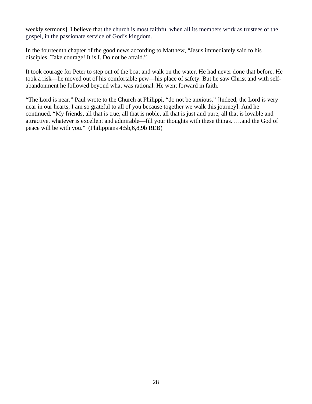weekly sermons]. I believe that the church is most faithful when all its members work as trustees of the gospel, in the passionate service of God's kingdom.

In the fourteenth chapter of the good news according to Matthew, "Jesus immediately said to his disciples. Take courage! It is I. Do not be afraid."

It took courage for Peter to step out of the boat and walk on the water. He had never done that before. He took a risk—he moved out of his comfortable pew—his place of safety. But he saw Christ and with selfabandonment he followed beyond what was rational. He went forward in faith.

"The Lord is near," Paul wrote to the Church at Philippi, "do not be anxious." [Indeed, the Lord is very near in our hearts; I am so grateful to all of you because together we walk this journey]. And he continued, "My friends, all that is true, all that is noble, all that is just and pure, all that is lovable and attractive, whatever is excellent and admirable—fill your thoughts with these things. ….and the God of peace will be with you." (Philippians 4:5b,6,8,9b REB)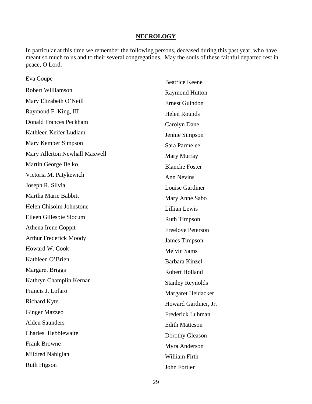### **NECROLOGY**

In particular at this time we remember the following persons, deceased during this past year, who have meant so much to us and to their several congregations. May the souls of these faithful departed rest in peace, O Lord.

| Eva Coupe                     | <b>Beatrice Keene</b>    |
|-------------------------------|--------------------------|
| Robert Williamson             | <b>Raymond Hutton</b>    |
| Mary Elizabeth O'Neill        | <b>Ernest Guindon</b>    |
| Raymond F. King, III          | <b>Helen Rounds</b>      |
| <b>Donald Frances Peckham</b> | Carolyn Dane             |
| Kathleen Keifer Ludlam        | Jennie Simpson           |
| Mary Kemper Simpson           | Sara Parmelee            |
| Mary Allerton Newhall Maxwell | Mary Murray              |
| Martin George Belko           | <b>Blanche Foster</b>    |
| Victoria M. Patykewich        | <b>Ann Nevins</b>        |
| Joseph R. Silvia              | Louise Gardiner          |
| Martha Marie Babbitt          | Mary Anne Sabo           |
| Helen Chisolm Johnstone       | <b>Lillian Lewis</b>     |
| Eileen Gillespie Slocum       | <b>Ruth Timpson</b>      |
| Athena Irene Coppit           | <b>Freelove Peterson</b> |
| <b>Arthur Frederick Moody</b> | <b>James Timpson</b>     |
| Howard W. Cook                | <b>Melvin Sams</b>       |
| Kathleen O'Brien              | Barbara Kinzel           |
| <b>Margaret Briggs</b>        | Robert Holland           |
| Kathryn Champlin Kernan       | <b>Stanley Reynolds</b>  |
| Francis J. Lofaro             | Margaret Heidacker       |
| <b>Richard Kyte</b>           | Howard Gardiner, Jr.     |
| <b>Ginger Mazzeo</b>          | Frederick Luhman         |
| <b>Alden Saunders</b>         | <b>Edith Matteson</b>    |
| Charles Hebblewaite           | Dorothy Gleason          |
| <b>Frank Browne</b>           | Myra Anderson            |
| Mildred Nahigian              | William Firth            |
| Ruth Higson                   | John Fortier             |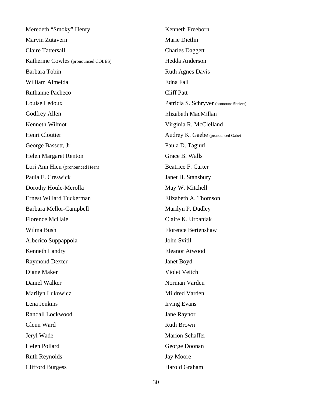Meredeth "Smoky" Henry Marvin Zutavern Claire Tattersall Katherine Cowles (pronounced COLES) Barbara Tobin William Almeida Ruthanne Pacheco Louise Ledoux Godfrey Allen Kenneth Wilmot Henri Cloutier George Bassett, Jr. Helen Margaret Renton Lori Ann Hien (pronounced Heen) Paula E. Creswick Dorothy Houle-Merolla Ernest Willard Tuckerman Barbara Mellor-Campbell Florence McHale Wilma Bush Alberico Suppappola Kenneth Landry Raymond Dexter Diane Maker Daniel Walker Marilyn Lukowicz Lena Jenkins Randall Lockwood Glenn Ward Jeryl Wade Helen Pollard Ruth Reynolds Clifford Burgess

Kenneth Freeborn Marie Dietlin Charles Daggett Hedda Anderson Ruth Agnes Davis Edna Fall Cliff Patt Patricia S. Schryver (pronounc Shriver) Elizabeth MacMillan Virginia R. McClelland Audrey K. Gaebe (pronounced Gabe) Paula D. Tagiuri Grace B. Walls Beatrice F. Carter Janet H. Stansbury May W. Mitchell Elizabeth A. Thomson Marilyn P. Dudley Claire K. Urbaniak Florence Bertenshaw John Svitil Eleanor Atwood Janet Boyd Violet Veitch Norman Varden Mildred Varden Irving Evans Jane Raynor Ruth Brown Marion Schaffer George Doonan Jay Moore Harold Graham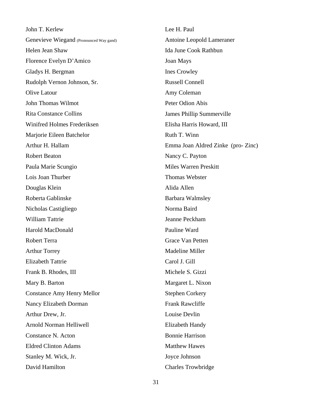John T. Kerlew Genevieve Wiegand (Pronounced Way gand) Helen Jean Shaw Florence Evelyn D'Amico Gladys H. Bergman Rudolph Vernon Johnson, Sr. Olive Latour John Thomas Wilmot Rita Constance Collins Winifred Holmes Frederiksen Marjorie Eileen Batchelor Arthur H. Hallam Robert Beaton Paula Marie Scungio Lois Joan Thurber Douglas Klein Roberta Gablinske Nicholas Castigliego William Tattrie Harold MacDonald Robert Terra Arthur Torrey Elizabeth Tattrie Frank B. Rhodes, III Mary B. Barton Constance Amy Henry Mellor Nancy Elizabeth Dorman Arthur Drew, Jr. Arnold Norman Helliwell Constance N. Acton Eldred Clinton Adams Stanley M. Wick, Jr. David Hamilton

Lee H. Paul Antoine Leopold Lameraner Ida June Cook Rathbun Joan Mays Ines Crowley Russell Connell Amy Coleman Peter Odion Abis James Phillip Summerville Elisha Harris Howard, III Ruth T. Winn Emma Joan Aldred Zinke (pro- Zinc) Nancy C. Payton Miles Warren Preskitt Thomas Webster Alida Allen Barbara Walmsley Norma Baird Jeanne Peckham Pauline Ward Grace Van Petten Madeline Miller Carol J. Gill Michele S. Gizzi Margaret L. Nixon Stephen Corkery Frank Rawcliffe Louise Devlin Elizabeth Handy Bonnie Harrison Matthew Hawes Joyce Johnson Charles Trowbridge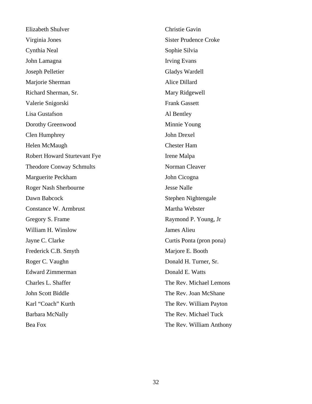| <b>Elizabeth Shulver</b>            | Christie Gavin               |
|-------------------------------------|------------------------------|
| Virginia Jones                      | <b>Sister Prudence Croke</b> |
| Cynthia Neal                        | Sophie Silvia                |
| John Lamagna                        | <b>Irving Evans</b>          |
| Joseph Pelletier                    | Gladys Wardell               |
| Marjorie Sherman                    | Alice Dillard                |
| Richard Sherman, Sr.                | Mary Ridgewell               |
| Valerie Snigorski                   | <b>Frank Gassett</b>         |
| Lisa Gustafson                      | Al Bentley                   |
| Dorothy Greenwood                   | Minnie Young                 |
| Clen Humphrey                       | John Drexel                  |
| Helen McMaugh                       | <b>Chester Ham</b>           |
| <b>Robert Howard Sturtevant Fye</b> | Irene Malpa                  |
| <b>Theodore Conway Schmults</b>     | Norman Cleaver               |
| Marguerite Peckham                  | John Cicogna                 |
| <b>Roger Nash Sherbourne</b>        | <b>Jesse Nalle</b>           |
| Dawn Babcock                        | Stephen Nightengale          |
| Constance W. Armbrust               | Martha Webster               |
| Gregory S. Frame                    | Raymond P. Young, Jr         |
| William H. Winslow                  | James Alieu                  |
| Jayne C. Clarke                     | Curtis Ponta (pron pona)     |
| Frederick C.B. Smyth                | Marjore E. Booth             |
| Roger C. Vaughn                     | Donald H. Turner, Sr.        |
| <b>Edward Zimmerman</b>             | Donald E. Watts              |
| Charles L. Shaffer                  | The Rev. Michael Lemons      |
| John Scott Biddle                   | The Rev. Joan McShane        |
| Karl "Coach" Kurth                  | The Rev. William Payton      |
| <b>Barbara McNally</b>              | The Rev. Michael Tuck        |
| Bea Fox                             | The Rev. William Anthony     |
|                                     |                              |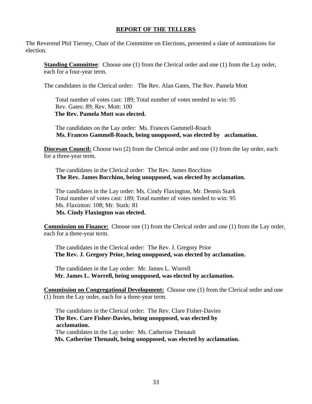### **REPORT OF THE TELLERS**

The Reverend Phil Tierney, Chair of the Committee on Elections, presented a slate of nominations for election.

**Standing Committee:** Choose one (1) from the Clerical order and one (1) from the Lay order, each for a four-year term.

The candidates in the Clerical order: The Rev. Alan Gates, The Rev. Pamela Mott

Total number of votes cast: 189; Total number of votes needed to win: 95 Rev. Gates: 89; Rev. Mott: 100  **The Rev. Pamela Mott was elected.** 

The candidates on the Lay order: Ms. Frances Gammell-Roach **Ms. Frances Gammell-Roach, being unopposed, was elected by acclamation.** 

**Diocesan Council:** Choose two (2) from the Clerical order and one (1) from the lay order, each for a three-year term.

The candidates in the Clerical order: The Rev. James Bocchino **The Rev. James Bocchino, being unopposed, was elected by acclamation.** 

The candidates in the Lay order: Ms. Cindy Flaxington, Mr. Dennis Stark Total number of votes cast: 189; Total number of votes needed to win: 95 Ms. Flaxinton: 108; Mr. Stark: 81 **Ms. Cindy Flaxington was elected.** 

**Commission on Finance:** Choose one (1) from the Clerical order and one (1) from the Lay order, each for a three-year term.

The candidates in the Clerical order: The Rev. J. Gregory Prior **The Rev. J. Gregory Prior, being unopposed, was elected by acclamation.** 

The candidates in the Lay order: Mr. James L. Worrell **Mr. James L. Worrell, being unopposed, was elected by acclamation.** 

**Commission on Congregational Development:** Choose one (1) from the Clerical order and one (1) from the Lay order, each for a three-year term.

The candidates in the Clerical order: The Rev. Clare Fisher-Davies  **The Rev. Care Fisher-Davies, being unopposed, was elected by acclamation.**  The candidates in the Lay order: Ms. Catherine Thenault **Ms. Catherine Thenault, being unopposed, was elected by acclamation.**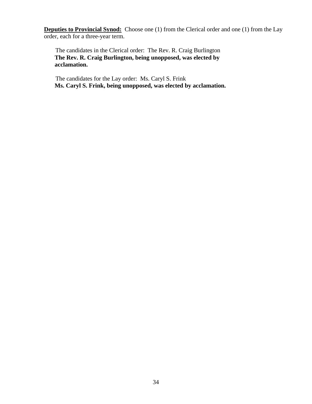**Deputies to Provincial Synod:** Choose one (1) from the Clerical order and one (1) from the Lay order, each for a three-year term.

The candidates in the Clerical order: The Rev. R. Craig Burlington **The Rev. R. Craig Burlington, being unopposed, was elected by acclamation.** 

The candidates for the Lay order: Ms. Caryl S. Frink **Ms. Caryl S. Frink, being unopposed, was elected by acclamation.**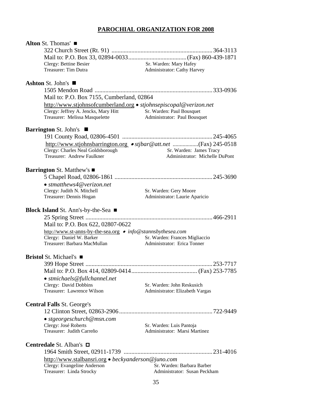### **PAROCHIAL ORGANIZATION FOR 2008**

| Alton St. Thomas'                               |                                                             |                                                                   |
|-------------------------------------------------|-------------------------------------------------------------|-------------------------------------------------------------------|
|                                                 |                                                             |                                                                   |
|                                                 |                                                             |                                                                   |
| Clergy: Bettine Besier                          |                                                             | Sr. Warden: Mary Hafey                                            |
| Treasurer: Tim Dutra                            |                                                             | Administrator: Cathy Harvey                                       |
| Ashton St. John's $\blacksquare$                |                                                             |                                                                   |
|                                                 |                                                             |                                                                   |
|                                                 | Mail to: P.O. Box 7155, Cumberland, 02864                   |                                                                   |
|                                                 |                                                             | http://www.stjohnsofcumberland.org • stjohnsepiscopal@verizon.net |
|                                                 | Clergy: Jeffrey A. Jencks, Mary Hitt                        | Sr. Warden: Paul Bousquet                                         |
| Treasurer: Melissa Masquelette                  |                                                             | Administrator: Paul Bousquet                                      |
| <b>Barrington St. John's</b>                    |                                                             |                                                                   |
|                                                 |                                                             |                                                                   |
|                                                 |                                                             | http://www.stjohnsbarrington.org • stjbar@att.net (Fax) 245-0518  |
| Clergy: Charles Neal Goldsborough               |                                                             | Sr. Warden: James Tracy                                           |
| Treasurer: Andrew Faulkner                      |                                                             | Administrator: Michelle DuPont                                    |
| <b>Barrington St. Matthew's</b> ■               |                                                             |                                                                   |
|                                                 |                                                             |                                                                   |
| $\bullet$ stmatthews4@verizon.net               |                                                             |                                                                   |
| Clergy: Judith N. Mitchell                      |                                                             | Sr. Warden: Gery Moore                                            |
| Treasurer: Dennis Hogan                         |                                                             | Administrator: Laurie Aparicio                                    |
| Block Island St. Ann's-by-the-Sea ■             |                                                             |                                                                   |
|                                                 |                                                             |                                                                   |
| Mail to: P.O. Box 622, 02807-0622               |                                                             |                                                                   |
|                                                 | http://www.st-anns-by-the-sea.org • info@stannsbythesea.com |                                                                   |
| Clergy: Daniel W. Barker                        |                                                             | Sr. Warden: Frances Migliaccio                                    |
| Treasurer: Barbara MacMullan                    |                                                             | Administrator: Erica Tonner                                       |
| <b>Bristol</b> St. Michael's ■                  |                                                             |                                                                   |
|                                                 |                                                             |                                                                   |
|                                                 |                                                             |                                                                   |
| • stmichaels@fullchannel.net                    |                                                             |                                                                   |
| Clergy: David Dobbins                           |                                                             | Sr. Warden: John Reskusich                                        |
| Treasurer: Lawrence Wilson                      |                                                             | Administrator: Elizabeth Vargas                                   |
| <b>Central Falls St. George's</b>               |                                                             |                                                                   |
|                                                 |                                                             |                                                                   |
| • stgeorgeschurch@msn.com                       |                                                             |                                                                   |
| Clergy: José Roberts                            |                                                             | Sr. Warden: Luis Pantoja                                          |
| Treasurer: Judith Carreño                       |                                                             | Administrator: Marsi Martinez                                     |
| <b>Centredale St. Alban's <math>\Box</math></b> |                                                             |                                                                   |
|                                                 |                                                             |                                                                   |
|                                                 | http://www.stalbansri.org • beckyanderson@juno.com          |                                                                   |
| Clergy: Evangeline Anderson                     |                                                             | Sr. Warden: Barbara Barber                                        |
| Treasurer: Linda Strocky                        |                                                             | Administrator: Susan Peckham                                      |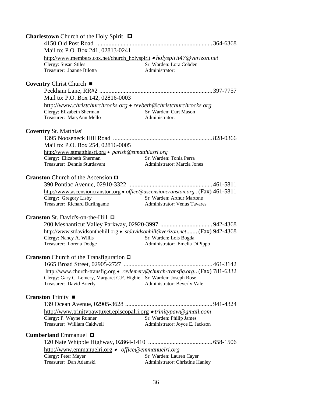| <b>Charlestown</b> Church of the Holy Spirit $\Box$                                     |                                     |  |
|-----------------------------------------------------------------------------------------|-------------------------------------|--|
|                                                                                         |                                     |  |
| Mail to: P.O. Box 241, 02813-0241                                                       |                                     |  |
| http://www.members.cox.net/church_holyspirit • holyspirit47@verizon.net                 |                                     |  |
| Clergy: Susan Stiles                                                                    | Sr. Warden: Lora Cobden             |  |
| Treasurer: Joanne Bilotta                                                               | Administrator:                      |  |
| Coventry Christ Church ■                                                                |                                     |  |
|                                                                                         |                                     |  |
| Mail to: P.O. Box 142, 02816-0003                                                       |                                     |  |
| http://www.christchurchrocks.org • revbeth@christchurchrocks.org                        |                                     |  |
| Clergy: Elizabeth Sherman                                                               | Sr. Warden: Curt Mason              |  |
| Treasurer: MaryAnn Mello                                                                | Administrator:                      |  |
| <b>Coventry St. Matthias'</b>                                                           |                                     |  |
|                                                                                         |                                     |  |
| Mail to: P.O. Box 254, 02816-0005                                                       |                                     |  |
| http://www.stmatthiasri.org • parish@stmatthiasri.org                                   |                                     |  |
| Clergy: Elizabeth Sherman                                                               | Sr. Warden: Tonia Perra             |  |
| Treasurer: Dennis Sturdavant                                                            | <b>Administrator: Marcia Jones</b>  |  |
|                                                                                         |                                     |  |
| <b>Cranston</b> Church of the Ascension $\Box$                                          |                                     |  |
|                                                                                         |                                     |  |
| http://www.ascensioncranston.org • <i>office@ascensioncranston.org</i> . (Fax) 461-5811 |                                     |  |
| Clergy: Gregory Lisby                                                                   | Sr. Warden: Arthur Martone          |  |
| Treasurer: Richard Burlingame                                                           | <b>Administrator: Venus Tavares</b> |  |
| Cranston St. David's-on-the-Hill □                                                      |                                     |  |
|                                                                                         |                                     |  |
| http://www.stdavidsonthehill.org · stdavidsonhill@verizon.net (Fax) 942-4368            |                                     |  |
| Clergy: Nancy A. Willis                                                                 | Sr. Warden: Lois Bogda              |  |
| Treasurer: Lorena Dodge                                                                 | Administrator: Emelia DiPippo       |  |
|                                                                                         |                                     |  |
| <b>Cranston</b> Church of the Transfiguration $\Box$                                    |                                     |  |
|                                                                                         |                                     |  |
| http://www.church-transfig.org • revlemery@church-transfig.org (Fax) 781-6332           |                                     |  |
| Clergy: Gary C. Lemery, Margaret C.F. Higbie Sr. Warden: Joseph Rose                    |                                     |  |
| Treasurer: David Brierly                                                                | Administrator: Beverly Vale         |  |
| <b>Cranston</b> Trinity $\blacksquare$                                                  |                                     |  |
|                                                                                         |                                     |  |
| http://www.trinitypawtuxet.episcopalri.org • trinitypaw@gmail.com                       |                                     |  |
| Clergy: P. Wayne Runner                                                                 | Sr. Warden: Philip James            |  |
| Treasurer: William Caldwell                                                             | Administrator: Joyce E. Jackson     |  |
| <b>Cumberland</b> Emmanuel $\Box$                                                       |                                     |  |
|                                                                                         |                                     |  |
|                                                                                         |                                     |  |
| http://www.emmanuelri.org • office@emmanuelri.org<br>Clergy: Peter Mayer                | Sr. Warden: Lauren Cayer            |  |
| Treasurer: Dan Adamski                                                                  | Administrator: Christine Hanley     |  |
|                                                                                         |                                     |  |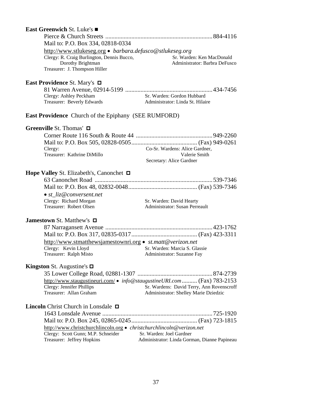| <b>East Greenwich St. Luke's</b> ■                                                                                          |                                                                          |
|-----------------------------------------------------------------------------------------------------------------------------|--------------------------------------------------------------------------|
|                                                                                                                             |                                                                          |
| Mail to: P.O. Box 334, 02818-0334                                                                                           |                                                                          |
| http://www.stlukeseg.org • barbara.defusco@stlukeseg.org<br>Clergy: R. Craig Burlington, Dennis Bucco,<br>Dorothy Brightman | Sr. Warden: Ken MacDonald<br>Administrator: Barbra DeFusco               |
| Treasurer: J. Thompson Hiller                                                                                               |                                                                          |
| East Providence St. Mary's □                                                                                                |                                                                          |
|                                                                                                                             |                                                                          |
| Clergy: Ashley Peckham<br>Treasurer: Beverly Edwards                                                                        | Sr. Warden: Gordon Hubbard<br>Administrator: Linda St. Hilaire           |
| East Providence Church of the Epiphany (SEE RUMFORD)                                                                        |                                                                          |
| Greenville St. Thomas' □                                                                                                    |                                                                          |
|                                                                                                                             |                                                                          |
|                                                                                                                             |                                                                          |
| Clergy:                                                                                                                     | Co-Sr. Wardens: Alice Gardner,                                           |
| Treasurer: Kathrine DiMillo                                                                                                 | Valerie Smith<br>Secretary: Alice Gardner                                |
| Hope Valley St. Elizabeth's, Canonchet □                                                                                    |                                                                          |
|                                                                                                                             |                                                                          |
|                                                                                                                             |                                                                          |
| $\bullet$ st liz@conversent.net                                                                                             |                                                                          |
| Clergy: Richard Morgan<br>Treasurer: Robert Olsen                                                                           | Sr. Warden: David Hearty<br>Administrator: Susan Perreault               |
| Jamestown St. Matthew's □                                                                                                   |                                                                          |
|                                                                                                                             |                                                                          |
|                                                                                                                             |                                                                          |
|                                                                                                                             | http://www.stmatthewsjamestownri.org • st.matt@verizon.net               |
| Clergy: Kevin Lloyd                                                                                                         | Sr. Warden: Marcia S. Glassie                                            |
| Treasurer: Ralph Misto                                                                                                      | Administrator: Suzanne Fay                                               |
| <b>Kingston</b> St. Augustine's $\Box$                                                                                      |                                                                          |
|                                                                                                                             |                                                                          |
|                                                                                                                             | http://www.staugustineuri.com/ • info@staugustineURI.com  (Fax) 783-2153 |
| Clergy: Jennifer Phillips                                                                                                   | Sr. Wardens: David Terry, Ann Rovenscroff                                |
| Treasurer: Allan Graham                                                                                                     | Administrator: Shelley Marie Dziedzic                                    |
| <b>Lincoln</b> Christ Church in Lonsdale $\Box$                                                                             |                                                                          |
|                                                                                                                             |                                                                          |
|                                                                                                                             |                                                                          |
|                                                                                                                             | http://www.christchurchlincoln.org • christchurchlincoln@verizon.net     |
| Clergy: Scott Gunn; M.P. Schneider<br>Treasurer: Jeffrey Hopkins                                                            | Sr. Warden: Joel Gardner<br>Administrator: Linda Gorman, Dianne Papineau |
|                                                                                                                             |                                                                          |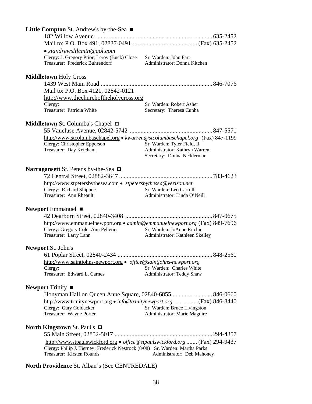| Little Compton St. Andrew's by-the-Sea ■                                                                   |                                                               |
|------------------------------------------------------------------------------------------------------------|---------------------------------------------------------------|
|                                                                                                            |                                                               |
|                                                                                                            |                                                               |
| $\bullet$ standrewsltlcmtn@aol.com                                                                         |                                                               |
| Clergy: J. Gregory Prior; Leroy (Buck) Close Sr. Warden: John Farr                                         |                                                               |
| Treasurer: Frederick Buhrendorf                                                                            | Administrator: Donna Kitchen                                  |
|                                                                                                            |                                                               |
| <b>Middletown Holy Cross</b>                                                                               |                                                               |
|                                                                                                            |                                                               |
| Mail to: P.O. Box 4121, 02842-0121                                                                         |                                                               |
| http://www.thechurchoftheholycross.org                                                                     |                                                               |
| Clergy:<br>Treasurer: Patricia White                                                                       | Sr. Warden: Robert Asher                                      |
|                                                                                                            | Secretary: Theresa Cunha                                      |
| <b>Middletown</b> St. Columba's Chapel $\Box$                                                              |                                                               |
|                                                                                                            |                                                               |
| http://www.stcolumbaschapel.org • kwarren@stcolumbaschapel.org (Fax) 847-1199                              |                                                               |
| Clergy: Christopher Epperson                                                                               | Sr. Warden: Tyler Field, II                                   |
| Treasurer: Day Ketcham                                                                                     | Administrator: Kathryn Warren                                 |
|                                                                                                            | Secretary: Donna Nedderman                                    |
|                                                                                                            |                                                               |
| Narragansett St. Peter's by-the-Sea $\Box$                                                                 |                                                               |
|                                                                                                            |                                                               |
| http://www.stpetersbythesea.com • stpetersbythesea@verizon.net                                             |                                                               |
| Clergy: Richard Shippee                                                                                    | Sr. Warden: Leo Carroll                                       |
| Treasurer: Ann Rheault                                                                                     | Administrator: Linda O'Neill                                  |
|                                                                                                            |                                                               |
| Newport Emmanuel $\blacksquare$                                                                            |                                                               |
|                                                                                                            |                                                               |
| http://www.emmanuelnewport.org • admin@emmanuelnewport.org (Fax) 849-7696                                  |                                                               |
| Clergy: Gregory Cole, Ann Pelletier<br>Treasurer: Larry Lann                                               | Sr. Warden: JoAnne Ritchie<br>Administrator: Kathleen Skelley |
|                                                                                                            |                                                               |
| <b>Newport St. John's</b>                                                                                  |                                                               |
|                                                                                                            |                                                               |
| http://www.saintjohns-newport.org • office@saintjohns-newport.org                                          |                                                               |
| Clergy:                                                                                                    | Sr. Warden: Charles White                                     |
| Treasurer: Edward L. Carnes                                                                                | Administrator: Teddy Shaw                                     |
|                                                                                                            |                                                               |
| Newport Trinity $\blacksquare$                                                                             |                                                               |
|                                                                                                            |                                                               |
|                                                                                                            |                                                               |
| Clergy: Gary Goldacker                                                                                     | Sr. Warden: Bruce Livingston                                  |
| Treasurer: Wayne Porter                                                                                    | Administrator: Marie Maguire                                  |
|                                                                                                            |                                                               |
| <b>North Kingstown St. Paul's <math>\Box</math></b>                                                        |                                                               |
|                                                                                                            | . 294-4357                                                    |
| http://www.stpaulswickford.org · office@stpaulswickford.org  (Fax) 294-9437                                |                                                               |
| Clergy: Philip J. Tierney; Frederick Nestrock (8/08) Sr. Warden: Martha Parks<br>Treasurer: Kirsten Rounds | Administrator: Deb Mahoney                                    |
|                                                                                                            |                                                               |

**North Providence** St. Alban's (See CENTREDALE)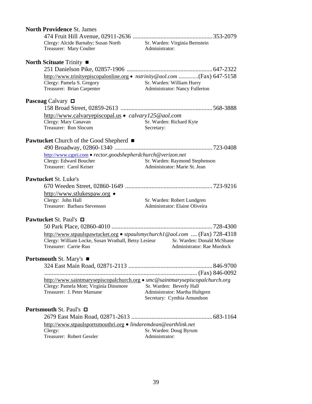|                                                | <b>North Providence St. James</b>                                                                                                                           |                                                                                           |
|------------------------------------------------|-------------------------------------------------------------------------------------------------------------------------------------------------------------|-------------------------------------------------------------------------------------------|
|                                                | Clergy: Alcide Barnaby; Susan North<br>Treasurer: Mary Coulter                                                                                              | Sr. Warden: Virginia Bernstein<br>Administrator:                                          |
|                                                | North Scituate Trinity $\blacksquare$                                                                                                                       |                                                                                           |
|                                                |                                                                                                                                                             |                                                                                           |
|                                                | http://www.trinityepiscopalonline.org • nstrinity@aol.com (Fax) 647-5158<br>Clergy: Pamela S. Gregory<br>Treasurer: Brian Carpenter                         | Sr. Warden: William Hurry<br>Administrator: Nancy Fullerton                               |
|                                                | <b>Pascoag</b> Calvary $\Box$                                                                                                                               |                                                                                           |
|                                                |                                                                                                                                                             |                                                                                           |
|                                                | http://www.calvaryepiscopal.us • calvary125@aol.com<br>Clergy: Mary Canavan<br>Treasurer: Ron Slocum                                                        | Sr. Warden: Richard Kyte<br>Secretary:                                                    |
|                                                | <b>Pawtucket</b> Church of the Good Shepherd ■                                                                                                              |                                                                                           |
|                                                | http://www.cgsri.com • rector.goodshepherdchurch@verizon.net                                                                                                |                                                                                           |
|                                                | Clergy: Edward Boucher<br>Treasurer: Carol Keiser                                                                                                           | Sr. Warden: Raymond Stephenson<br>Administrator: Marie St. Jean                           |
|                                                | <b>Pawtucket St. Luke's</b>                                                                                                                                 |                                                                                           |
|                                                |                                                                                                                                                             |                                                                                           |
|                                                | http://www.stlukespaw.org •                                                                                                                                 |                                                                                           |
|                                                | Clergy: John Hall<br>Treasurer: Barbara Stevenson                                                                                                           | Sr. Warden: Robert Lundgren<br>Administrator: Elaine Oliveira                             |
|                                                | <b>Pawtucket St. Paul's <math>\Box</math></b>                                                                                                               |                                                                                           |
|                                                |                                                                                                                                                             |                                                                                           |
|                                                | http://www.stpaulspawtucket.org • stpaulsmychurch1@aol.com  (Fax) 728-4318<br>Clergy: William Locke, Susan Wrathall, Betsy Lesieur<br>Treasurer: Carrie Ruo | Sr. Warden: Donald McShane<br>Administrator: Rae Murdock                                  |
|                                                | Portsmouth St. Mary's ■                                                                                                                                     |                                                                                           |
|                                                |                                                                                                                                                             | .846-9700                                                                                 |
|                                                |                                                                                                                                                             |                                                                                           |
|                                                | http://www.saintmarysepiscopalchurch.org • smc@saintmarysepiscopalchurch.org                                                                                |                                                                                           |
|                                                | Clergy: Pamela Mott; Virginia Dinsmore<br>Treasurer: J. Peter Marnane                                                                                       | Sr. Warden: Beverly Hall<br>Administrator: Martha Hultgren<br>Secretary: Cynthia Amundson |
| <b>Portsmouth St. Paul's <math>\Box</math></b> |                                                                                                                                                             |                                                                                           |
|                                                | http://www.stpaulsportsmouthri.org • lindaremdean@earthlink.net<br>Clergy:                                                                                  | Sr. Warden: Doug Byrum                                                                    |
|                                                | Treasurer: Robert Gessler                                                                                                                                   | Administrator:                                                                            |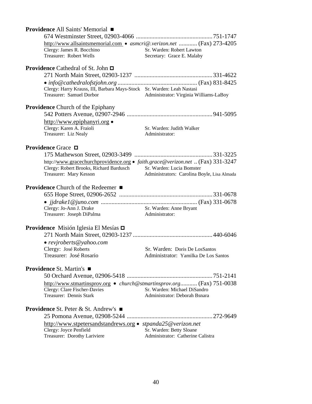| <b>Providence All Saints' Memorial</b> ■                                                           |                                                                        |
|----------------------------------------------------------------------------------------------------|------------------------------------------------------------------------|
|                                                                                                    |                                                                        |
| http://www.allsaintsmemorial.com • asmcri@.verizon.net  (Fax) 273-4205                             |                                                                        |
| Clergy: James R. Bocchino                                                                          | Sr. Warden: Robert Lawton                                              |
| Treasurer: Robert Wells                                                                            | Secretary: Grace E. Malaby                                             |
| <b>Providence</b> Cathedral of St. John $\Box$                                                     |                                                                        |
|                                                                                                    |                                                                        |
|                                                                                                    |                                                                        |
|                                                                                                    |                                                                        |
| Clergy: Harry Krauss, III, Barbara Mays-Stock Sr. Warden: Leah Nastasi<br>Treasurer: Samuel Dorbor |                                                                        |
|                                                                                                    | Administrator: Virginia Williams-LaBoy                                 |
| <b>Providence</b> Church of the Epiphany                                                           |                                                                        |
|                                                                                                    |                                                                        |
| http://www.epiphanyri.org •                                                                        |                                                                        |
| Clergy: Karen A. Fraioli                                                                           | Sr. Warden: Judith Walker                                              |
| Treasurer: Liz Nealy                                                                               | Administrator:                                                         |
|                                                                                                    |                                                                        |
| Providence Grace <b>□</b>                                                                          |                                                                        |
|                                                                                                    |                                                                        |
| http://www.gracechurchprovidence.org • faith.grace@verizon.net  (Fax) 331-3247                     |                                                                        |
| Clergy: Robert Brooks, Richard Bardusch Sr. Warden: Lucia Bomster                                  |                                                                        |
| Treasurer: Mary Kesson                                                                             | Administrators: Carolina Boyle, Lisa Almada                            |
|                                                                                                    |                                                                        |
| <b>Providence</b> Church of the Redeemer ■                                                         |                                                                        |
|                                                                                                    |                                                                        |
|                                                                                                    |                                                                        |
| Clergy: Jo-Ann J. Drake                                                                            | Sr. Warden: Anne Bryant                                                |
| Treasurer: Joseph DiPalma                                                                          | Administrator:                                                         |
| Providence Misión Iglesia El Mesías □                                                              |                                                                        |
|                                                                                                    |                                                                        |
|                                                                                                    |                                                                        |
| • revjroberts@yahoo.com                                                                            |                                                                        |
| Clergy: José Roberts<br>Treasurer: José Rosario                                                    | Sr. Warden: Doris De LosSantos<br>Administrator: Yamilka De Los Santos |
|                                                                                                    |                                                                        |
| <b>Providence St. Martin's</b> ■                                                                   |                                                                        |
|                                                                                                    |                                                                        |
| http://www.stmartinsprov.org • church@stmartinsprov.org (Fax) 751-0038                             |                                                                        |
| Clergy: Clare Fischer-Davies                                                                       | Sr. Warden: Michael DiSandro                                           |
| Treasurer: Dennis Stark                                                                            | Administrator: Deborah Bsnara                                          |
|                                                                                                    |                                                                        |
| <b>Providence St. Peter &amp; St. Andrew's</b> ■                                                   |                                                                        |
|                                                                                                    |                                                                        |
| http://www.stpetersandstandrews.org • stpanda25@verizon.net                                        |                                                                        |
| Clergy: Joyce Penfield                                                                             | Sr. Warden: Betty Sloane                                               |
| Treasurer: Dorothy Lariviere                                                                       | Administrator: Catherine Calistra                                      |
|                                                                                                    |                                                                        |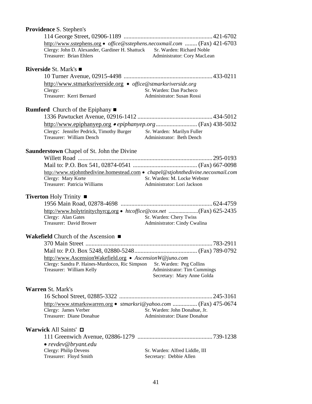| Providence S. Stephen's                                                                                                                                                           |                                                           |
|-----------------------------------------------------------------------------------------------------------------------------------------------------------------------------------|-----------------------------------------------------------|
|                                                                                                                                                                                   |                                                           |
| http://www.sstephens.org • office@sstephens.necoxmail.com  (Fax) 421-6703<br>Clergy: John D. Alexander, Gardiner H. Shattuck Sr. Warden: Richard Noble<br>Treasurer: Brian Ehlers | Administrator: Cory MacLean                               |
| <b>Riverside St. Mark's <math>\blacksquare</math></b>                                                                                                                             |                                                           |
|                                                                                                                                                                                   |                                                           |
| http://www.stmarksriverside.org · office@stmarksriverside.org                                                                                                                     |                                                           |
| Clergy:                                                                                                                                                                           | Sr. Warden: Dan Pacheco                                   |
| Treasurer: Kerri Bernard                                                                                                                                                          | Administrator: Susan Rossi                                |
| <b>Rumford</b> Church of the Epiphany $\blacksquare$                                                                                                                              |                                                           |
|                                                                                                                                                                                   |                                                           |
|                                                                                                                                                                                   |                                                           |
| Clergy: Jennifer Pedrick, Timothy Burger                                                                                                                                          | Sr. Warden: Marilyn Fuller                                |
| Treasurer: William Dench                                                                                                                                                          | Administrator: Beth Dench                                 |
|                                                                                                                                                                                   |                                                           |
| <b>Saunderstown</b> Chapel of St. John the Divine                                                                                                                                 |                                                           |
|                                                                                                                                                                                   |                                                           |
|                                                                                                                                                                                   |                                                           |
| http://www.stjohnthedivine.homestead.com • chapel@stjohnthedivine.necoxmail.com<br>Clergy: Mary Korte                                                                             | Sr. Warden: M. Locke Webster                              |
| Treasurer: Patricia Williams                                                                                                                                                      | Administrator: Lori Jackson                               |
|                                                                                                                                                                                   |                                                           |
| Tiverton Holy Trinity ■                                                                                                                                                           |                                                           |
| http://www.holytrinitychyrcg.org • htcoffice@cox.net (Fax) 625-2435                                                                                                               |                                                           |
| Clergy: Alan Gates                                                                                                                                                                | Sr. Warden: Chery Twiss                                   |
| Treasurer: David Brower                                                                                                                                                           | Administrator: Cindy Cwalina                              |
|                                                                                                                                                                                   |                                                           |
| Wakefield Church of the Ascension $\blacksquare$                                                                                                                                  |                                                           |
|                                                                                                                                                                                   |                                                           |
|                                                                                                                                                                                   |                                                           |
| http://www.AscensionWakefield.org • AscensionW@juno.com<br>Clergy: Sandra P. Haines-Murdocco, Ric Simpson                                                                         | Sr. Warden: Peg Collins                                   |
| Treasurer: William Kelly                                                                                                                                                          | <b>Administrator: Tim Cummings</b>                        |
|                                                                                                                                                                                   | Secretary: Mary Anne Golda                                |
| <b>Warren St. Mark's</b>                                                                                                                                                          |                                                           |
|                                                                                                                                                                                   |                                                           |
|                                                                                                                                                                                   |                                                           |
| http://www.stmarkswarren.org • stmarksri@yahoo.com  (Fax) 475-0674<br>Clergy: James Verber                                                                                        | Sr. Warden: John Donahue, Jr.                             |
| Treasurer: Diane Donahue                                                                                                                                                          | Administrator: Diane Donahue                              |
|                                                                                                                                                                                   |                                                           |
| Warwick All Saints' $\Box$                                                                                                                                                        |                                                           |
|                                                                                                                                                                                   |                                                           |
| • revdev@bryant.edu                                                                                                                                                               |                                                           |
| Clergy: Philip Devens<br>Treasurer: Floyd Smith                                                                                                                                   | Sr. Warden: Alfred Liddle, III<br>Secretary: Debbie Allen |
|                                                                                                                                                                                   |                                                           |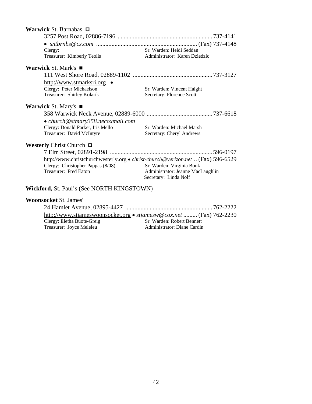| Warwick St. Barnabas <b>□</b>                                                   |                                                            |
|---------------------------------------------------------------------------------|------------------------------------------------------------|
|                                                                                 |                                                            |
|                                                                                 |                                                            |
| Clergy:                                                                         | Sr. Warden: Heidi Seddan                                   |
| Treasurer: Kimberly Teolis                                                      | Administrator: Karen Dziedzic                              |
| <b>Warwick St. Mark's <math>\blacksquare</math></b>                             |                                                            |
|                                                                                 |                                                            |
| <u>http://www.stmarksri.org •</u>                                               |                                                            |
| Clergy: Peter Michaelson                                                        | Sr. Warden: Vincent Haight                                 |
| Treasurer: Shirley Kolarik                                                      | Secretary: Florence Scott                                  |
| <b>Warwick St. Mary's</b>                                                       |                                                            |
|                                                                                 |                                                            |
| • church@stmary358.necoxmail.com                                                |                                                            |
| Clergy: Donald Parker, Iris Mello                                               | Sr. Warden: Michael Marsh                                  |
| Treasurer: David McIntyre                                                       | Secretary: Cheryl Andrews                                  |
| <b>Westerly Christ Church <math>\Box</math></b>                                 |                                                            |
|                                                                                 |                                                            |
| http://www.christchurchwesterly.org • christ-church@verizon.net  (Fax) 596-6529 |                                                            |
| Clergy: Christopher Pappas (8/08)                                               | Sr. Warden: Virginia Bonk                                  |
| Treasurer: Fred Eaton                                                           | Administrator: Jeanne MacLaughlin<br>Secretary: Linda Nolf |
|                                                                                 |                                                            |
| Wickford, St. Paul's (See NORTH KINGSTOWN)                                      |                                                            |
| <b>Woonsocket St. James'</b>                                                    |                                                            |

|                            | http://www.stjameswoonsocket.org • stjamesw@cox.net  (Fax) 762-2230 |
|----------------------------|---------------------------------------------------------------------|
| Clergy: Eletha Buote-Greig | Sr. Warden: Robert Bennett                                          |
| Treasurer: Joyce Meleleu   | Administrator: Diane Cardin                                         |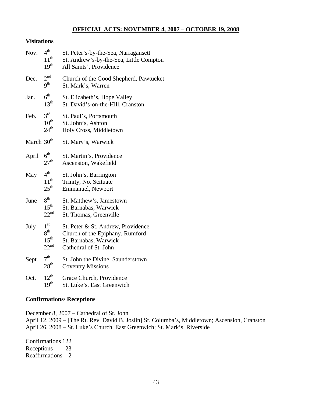### **OFFICIAL ACTS: NOVEMBER 4, 2007 – OCTOBER 19, 2008**

#### **Visitations**

| Nov.                   | $4^{\text{th}}$<br>$11^{th}$<br>19 <sup>th</sup>                        | St. Peter's-by-the-Sea, Narragansett<br>St. Andrew's-by-the-Sea, Little Compton<br>All Saints', Providence              |
|------------------------|-------------------------------------------------------------------------|-------------------------------------------------------------------------------------------------------------------------|
| Dec.                   | 2 <sup>nd</sup><br>9 <sup>th</sup>                                      | Church of the Good Shepherd, Pawtucket<br>St. Mark's, Warren                                                            |
| Jan.                   | 6 <sup>th</sup><br>13 <sup>th</sup>                                     | St. Elizabeth's, Hope Valley<br>St. David's-on-the-Hill, Cranston                                                       |
| Feb.                   | $3^{\text{rd}}$<br>$10^{th}$<br>$24^{\text{th}}$                        | St. Paul's, Portsmouth<br>St. John's, Ashton<br>Holy Cross, Middletown                                                  |
| March 30 <sup>th</sup> |                                                                         | St. Mary's, Warwick                                                                                                     |
| April                  | 6 <sup>th</sup><br>27 <sup>th</sup>                                     | St. Martin's, Providence<br>Ascension, Wakefield                                                                        |
| May                    | 4 <sup>th</sup><br>$11^{th}$<br>$25^{\text{th}}$                        | St. John's, Barrington<br>Trinity, No. Scituate<br>Emmanuel, Newport                                                    |
| June                   | 8 <sup>th</sup><br>$15^{\text{th}}$<br>$22^{nd}$                        | St. Matthew's, Jamestown<br>St. Barnabas, Warwick<br>St. Thomas, Greenville                                             |
| July                   | $1^{\rm st}$<br>8 <sup>th</sup><br>$15^{\text{th}}$<br>$22^{\text{nd}}$ | St. Peter & St. Andrew, Providence<br>Church of the Epiphany, Rumford<br>St. Barnabas, Warwick<br>Cathedral of St. John |
| Sept.                  | 7 <sup>th</sup><br>28 <sup>th</sup>                                     | St. John the Divine, Saunderstown<br><b>Coventry Missions</b>                                                           |
| Oct.                   | $12^{th}$<br>19 <sup>th</sup>                                           | Grace Church, Providence<br>St. Luke's, East Greenwich                                                                  |

#### **Confirmations/ Receptions**

December 8, 2007 – Cathedral of St. John

April 12, 2009 – [The Rt. Rev. David B. Joslin] St. Columba's, Middletown; Ascension, Cranston April 26, 2008 – St. Luke's Church, East Greenwich; St. Mark's, Riverside

Confirmations 122 Receptions 23 Reaffirmations 2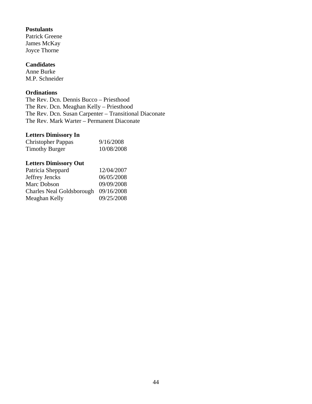#### **Postulants**

Patrick Greene James McKay Joyce Thorne

#### **Candidates**

Anne Burke M.P. Schneider

#### **Ordinations**

The Rev. Dcn. Dennis Bucco – Priesthood The Rev. Dcn. Meaghan Kelly – Priesthood The Rev. Dcn. Susan Carpenter – Transitional Diaconate The Rev. Mark Warter – Permanent Diaconate

#### **Letters Dimissory In**

| <b>Christopher Pappas</b> | 9/16/2008  |
|---------------------------|------------|
| <b>Timothy Burger</b>     | 10/08/2008 |

#### **Letters Dimissory Out**

| Patricia Sheppard                | 12/04/2007 |
|----------------------------------|------------|
| Jeffrey Jencks                   | 06/05/2008 |
| Marc Dobson                      | 09/09/2008 |
| <b>Charles Neal Goldsborough</b> | 09/16/2008 |
| Meaghan Kelly                    | 09/25/2008 |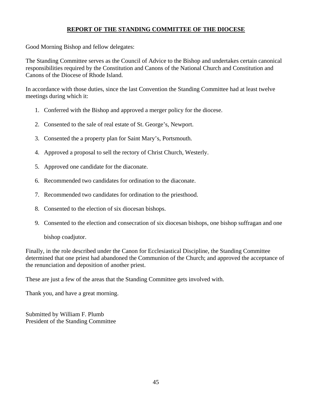# **REPORT OF THE STANDING COMMITTEE OF THE DIOCESE**

Good Morning Bishop and fellow delegates:

The Standing Committee serves as the Council of Advice to the Bishop and undertakes certain canonical responsibilities required by the Constitution and Canons of the National Church and Constitution and Canons of the Diocese of Rhode Island.

In accordance with those duties, since the last Convention the Standing Committee had at least twelve meetings during which it:

- 1. Conferred with the Bishop and approved a merger policy for the diocese.
- 2. Consented to the sale of real estate of St. George's, Newport.
- 3. Consented the a property plan for Saint Mary's, Portsmouth.
- 4. Approved a proposal to sell the rectory of Christ Church, Westerly.
- 5. Approved one candidate for the diaconate.
- 6. Recommended two candidates for ordination to the diaconate.
- 7. Recommended two candidates for ordination to the priesthood.
- 8. Consented to the election of six diocesan bishops.
- 9. Consented to the election and consecration of six diocesan bishops, one bishop suffragan and one

bishop coadjutor.

Finally, in the role described under the Canon for Ecclesiastical Discipline, the Standing Committee determined that one priest had abandoned the Communion of the Church; and approved the acceptance of the renunciation and deposition of another priest.

These are just a few of the areas that the Standing Committee gets involved with.

Thank you, and have a great morning.

Submitted by William F. Plumb President of the Standing Committee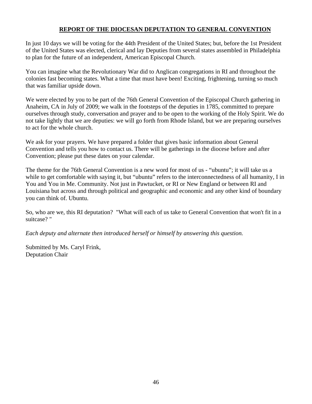## **REPORT OF THE DIOCESAN DEPUTATION TO GENERAL CONVENTION**

In just 10 days we will be voting for the 44th President of the United States; but, before the 1st President of the United States was elected, clerical and lay Deputies from several states assembled in Philadelphia to plan for the future of an independent, American Episcopal Church.

You can imagine what the Revolutionary War did to Anglican congregations in RI and throughout the colonies fast becoming states. What a time that must have been! Exciting, frightening, turning so much that was familiar upside down.

We were elected by you to be part of the 76th General Convention of the Episcopal Church gathering in Anaheim, CA in July of 2009; we walk in the footsteps of the deputies in 1785, committed to prepare ourselves through study, conversation and prayer and to be open to the working of the Holy Spirit. We do not take lightly that we are deputies: we will go forth from Rhode Island, but we are preparing ourselves to act for the whole church.

We ask for your prayers. We have prepared a folder that gives basic information about General Convention and tells you how to contact us. There will be gatherings in the diocese before and after Convention; please put these dates on your calendar.

The theme for the 76th General Convention is a new word for most of us - "ubuntu"; it will take us a while to get comfortable with saying it, but "ubuntu" refers to the interconnectedness of all humanity, I in You and You in Me. Community. Not just in Pawtucket, or RI or New England or between RI and Louisiana but across and through political and geographic and economic and any other kind of boundary you can think of. Ubuntu.

So, who are we, this RI deputation? "What will each of us take to General Convention that won't fit in a suitcase? "

*Each deputy and alternate then introduced herself or himself by answering this question.* 

Submitted by Ms. Caryl Frink, Deputation Chair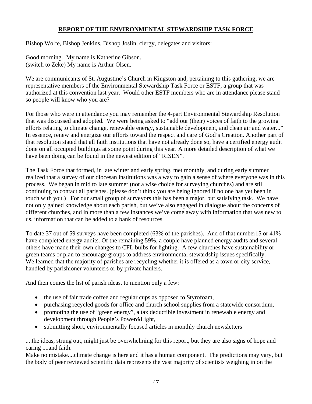# **REPORT OF THE ENVIRONMENTAL STEWARDSHIP TASK FORCE**

Bishop Wolfe, Bishop Jenkins, Bishop Joslin, clergy, delegates and visitors:

Good morning. My name is Katherine Gibson. (switch to Zeke) My name is Arthur Olsen.

We are communicants of St. Augustine's Church in Kingston and, pertaining to this gathering, we are representative members of the Environmental Stewardship Task Force or ESTF, a group that was authorized at this convention last year. Would other ESTF members who are in attendance please stand so people will know who you are?

For those who were in attendance you may remember the 4-part Environmental Stewardship Resolution that was discussed and adopted. We were being asked to "add our (their) voices of faith to the growing efforts relating to climate change, renewable energy, sustainable development, and clean air and water..." In essence, renew and energize our efforts toward the respect and care of God's Creation. Another part of that resolution stated that all faith institutions that have not already done so, have a certified energy audit done on all occupied buildings at some point during this year. A more detailed description of what we have been doing can be found in the newest edition of "RISEN".

The Task Force that formed, in late winter and early spring, met monthly, and during early summer realized that a survey of our diocesan institutions was a way to gain a sense of where everyone was in this process. We began in mid to late summer (not a wise choice for surveying churches) and are still continuing to contact all parishes. (please don't think you are being ignored if no one has yet been in touch with you.) For our small group of surveyors this has been a major, but satisfying task. We have not only gained knowledge about each parish, but we've also engaged in dialogue about the concerns of different churches, and in more than a few instances we've come away with information that was new to us, information that can be added to a bank of resources.

To date 37 out of 59 surveys have been completed (63% of the parishes). And of that number15 or 41% have completed energy audits. Of the remaining 59%, a couple have planned energy audits and several others have made their own changes to CFL bulbs for lighting. A few churches have sustainability or green teams or plan to encourage groups to address environmental stewardship issues specifically. We learned that the majority of parishes are recycling whether it is offered as a town or city service, handled by parishioner volunteers or by private haulers.

And then comes the list of parish ideas, to mention only a few:

- the use of fair trade coffee and regular cups as opposed to Styrofoam,
- purchasing recycled goods for office and church school supplies from a statewide consortium,
- promoting the use of "green energy", a tax deductible investment in renewable energy and development through People's Power&Light,
- submitting short, environmentally focused articles in monthly church newsletters

....the ideas, strung out, might just be overwhelming for this report, but they are also signs of hope and caring ....and faith.

Make no mistake....climate change is here and it has a human component. The predictions may vary, but the body of peer reviewed scientific data represents the vast majority of scientists weighing in on the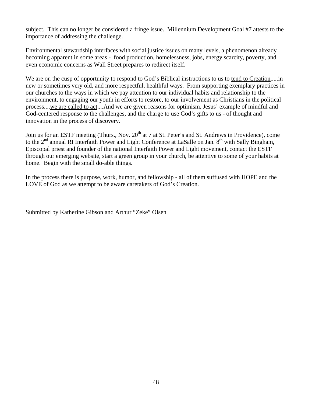subject. This can no longer be considered a fringe issue. Millennium Development Goal #7 attests to the importance of addressing the challenge.

Environmental stewardship interfaces with social justice issues on many levels, a phenomenon already becoming apparent in some areas - food production, homelessness, jobs, energy scarcity, poverty, and even economic concerns as Wall Street prepares to redirect itself.

We are on the cusp of opportunity to respond to God's Biblical instructions to us to tend to Creation.....in new or sometimes very old, and more respectful, healthful ways. From supporting exemplary practices in our churches to the ways in which we pay attention to our individual habits and relationship to the environment, to engaging our youth in efforts to restore, to our involvement as Christians in the political process....we are called to act....And we are given reasons for optimism, Jesus' example of mindful and God-centered response to the challenges, and the charge to use God's gifts to us - of thought and innovation in the process of discovery.

Join us for an ESTF meeting (Thurs., Nov. 20<sup>th</sup> at 7 at St. Peter's and St. Andrews in Providence), come to the  $2<sup>nd</sup>$  annual RI Interfaith Power and Light Conference at LaSalle on Jan.  $8<sup>th</sup>$  with Sally Bingham, Episcopal priest and founder of the national Interfaith Power and Light movement, contact the ESTF through our emerging website, start a green group in your church, be attentive to some of your habits at home. Begin with the small do-able things.

In the process there is purpose, work, humor, and fellowship - all of them suffused with HOPE and the LOVE of God as we attempt to be aware caretakers of God's Creation.

Submitted by Katherine Gibson and Arthur "Zeke" Olsen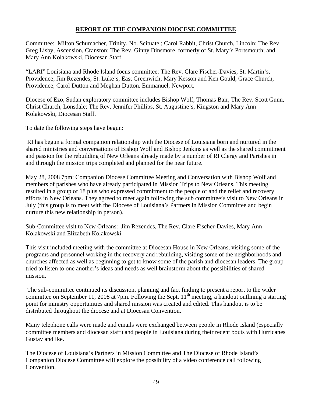# **REPORT OF THE COMPANION DIOCESE COMMITTEE**

Committee: Milton Schumacher, Trinity, No. Scituate ; Carol Rabbit, Christ Church, Lincoln; The Rev. Greg Lisby, Ascension, Cranston; The Rev. Ginny Dinsmore, formerly of St. Mary's Portsmouth; and Mary Ann Kolakowski, Diocesan Staff

"LARI" Louisiana and Rhode Island focus committee: The Rev. Clare Fischer-Davies, St. Martin's, Providence; Jim Rezendes, St. Luke's, East Greenwich; Mary Kesson and Ken Gould, Grace Church, Providence; Carol Dutton and Meghan Dutton, Emmanuel, Newport.

Diocese of Ezo, Sudan exploratory committee includes Bishop Wolf, Thomas Bair, The Rev. Scott Gunn, Christ Church, Lonsdale; The Rev. Jennifer Phillips, St. Augustine's, Kingston and Mary Ann Kolakowski, Diocesan Staff.

To date the following steps have begun:

 RI has begun a formal companion relationship with the Diocese of Louisiana born and nurtured in the shared ministries and conversations of Bishop Wolf and Bishop Jenkins as well as the shared commitment and passion for the rebuilding of New Orleans already made by a number of RI Clergy and Parishes in and through the mission trips completed and planned for the near future.

May 28, 2008 7pm: Companion Diocese Committee Meeting and Conversation with Bishop Wolf and members of parishes who have already participated in Mission Trips to New Orleans. This meeting resulted in a group of 18 plus who expressed commitment to the people of and the relief and recovery efforts in New Orleans. They agreed to meet again following the sub committee's visit to New Orleans in July (this group is to meet with the Diocese of Louisiana's Partners in Mission Committee and begin nurture this new relationship in person).

Sub-Committee visit to New Orleans: Jim Rezendes, The Rev. Clare Fischer-Davies, Mary Ann Kolakowski and Elizabeth Kolakowski

This visit included meeting with the committee at Diocesan House in New Orleans, visiting some of the programs and personnel working in the recovery and rebuilding, visiting some of the neighborhoods and churches affected as well as beginning to get to know some of the parish and diocesan leaders. The group tried to listen to one another's ideas and needs as well brainstorm about the possibilities of shared mission.

 The sub-committee continued its discussion, planning and fact finding to present a report to the wider committee on September 11, 2008 at 7pm. Following the Sept.  $11<sup>th</sup>$  meeting, a handout outlining a starting point for ministry opportunities and shared mission was created and edited. This handout is to be distributed throughout the diocese and at Diocesan Convention.

Many telephone calls were made and emails were exchanged between people in Rhode Island (especially committee members and diocesan staff) and people in Louisiana during their recent bouts with Hurricanes Gustav and Ike.

The Diocese of Louisiana's Partners in Mission Committee and The Diocese of Rhode Island's Companion Diocese Committee will explore the possibility of a video conference call following Convention.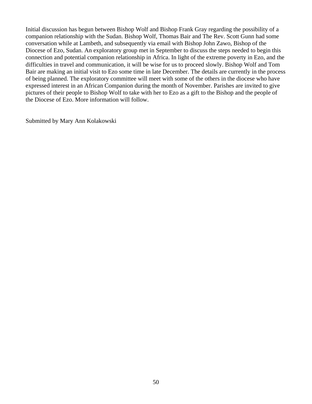Initial discussion has begun between Bishop Wolf and Bishop Frank Gray regarding the possibility of a companion relationship with the Sudan. Bishop Wolf, Thomas Bair and The Rev. Scott Gunn had some conversation while at Lambeth, and subsequently via email with Bishop John Zawo, Bishop of the Diocese of Ezo, Sudan. An exploratory group met in September to discuss the steps needed to begin this connection and potential companion relationship in Africa. In light of the extreme poverty in Ezo, and the difficulties in travel and communication, it will be wise for us to proceed slowly. Bishop Wolf and Tom Bair are making an initial visit to Ezo some time in late December. The details are currently in the process of being planned. The exploratory committee will meet with some of the others in the diocese who have expressed interest in an African Companion during the month of November. Parishes are invited to give pictures of their people to Bishop Wolf to take with her to Ezo as a gift to the Bishop and the people of the Diocese of Ezo. More information will follow.

Submitted by Mary Ann Kolakowski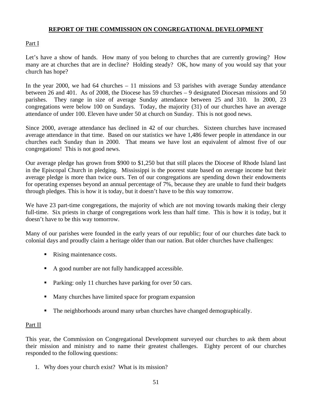### **REPORT OF THE COMMISSION ON CONGREGATIONAL DEVELOPMENT**

#### Part I

Let's have a show of hands. How many of you belong to churches that are currently growing? How many are at churches that are in decline? Holding steady? OK, how many of you would say that your church has hope?

In the year 2000, we had 64 churches – 11 missions and 53 parishes with average Sunday attendance between 26 and 401. As of 2008, the Diocese has 59 churches – 9 designated Diocesan missions and 50 parishes. They range in size of average Sunday attendance between 25 and 310. In 2000, 23 congregations were below 100 on Sundays. Today, the majority (31) of our churches have an average attendance of under 100. Eleven have under 50 at church on Sunday. This is not good news.

Since 2000, average attendance has declined in 42 of our churches. Sixteen churches have increased average attendance in that time. Based on our statistics we have 1,486 fewer people in attendance in our churches each Sunday than in 2000. That means we have lost an equivalent of almost five of our congregations! This is not good news.

Our average pledge has grown from \$900 to \$1,250 but that still places the Diocese of Rhode Island last in the Episcopal Church in pledging. Mississippi is the poorest state based on average income but their average pledge is more than twice ours. Ten of our congregations are spending down their endowments for operating expenses beyond an annual percentage of 7%, because they are unable to fund their budgets through pledges. This is how it is today, but it doesn't have to be this way tomorrow.

We have 23 part-time congregations, the majority of which are not moving towards making their clergy full-time. Six priests in charge of congregations work less than half time. This is how it is today, but it doesn't have to be this way tomorrow.

Many of our parishes were founded in the early years of our republic; four of our churches date back to colonial days and proudly claim a heritage older than our nation. But older churches have challenges:

- Rising maintenance costs.
- A good number are not fully handicapped accessible.
- Parking: only 11 churches have parking for over 50 cars.
- Many churches have limited space for program expansion
- The neighborhoods around many urban churches have changed demographically.

#### Part II

This year, the Commission on Congregational Development surveyed our churches to ask them about their mission and ministry and to name their greatest challenges. Eighty percent of our churches responded to the following questions:

1. Why does your church exist? What is its mission?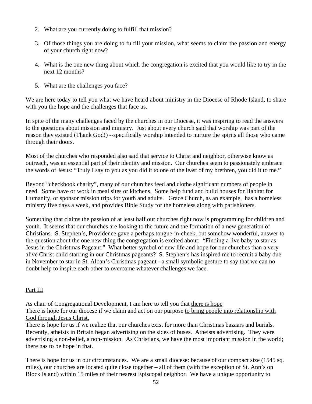- 2. What are you currently doing to fulfill that mission?
- 3. Of those things you are doing to fulfill your mission, what seems to claim the passion and energy of your church right now?
- 4. What is the one new thing about which the congregation is excited that you would like to try in the next 12 months?
- 5. What are the challenges you face?

We are here today to tell you what we have heard about ministry in the Diocese of Rhode Island, to share with you the hope and the challenges that face us.

In spite of the many challenges faced by the churches in our Diocese, it was inspiring to read the answers to the questions about mission and ministry. Just about every church said that worship was part of the reason they existed (Thank God!) --specifically worship intended to nurture the spirits all those who came through their doors.

Most of the churches who responded also said that service to Christ and neighbor, otherwise know as outreach, was an essential part of their identity and mission. Our churches seem to passionately embrace the words of Jesus: "Truly I say to you as you did it to one of the least of my brethren, you did it to me."

Beyond "checkbook charity", many of our churches feed and clothe significant numbers of people in need. Some have or work in meal sites or kitchens. Some help fund and build houses for Habitat for Humanity, or sponsor mission trips for youth and adults. Grace Church, as an example, has a homeless ministry five days a week, and provides Bible Study for the homeless along with parishioners.

Something that claims the passion of at least half our churches right now is programming for children and youth. It seems that our churches are looking to the future and the formation of a new generation of Christians. S. Stephen's, Providence gave a perhaps tongue-in-cheek, but somehow wonderful, answer to the question about the one new thing the congregation is excited about: "Finding a live baby to star as Jesus in the Christmas Pageant." What better symbol of new life and hope for our churches than a very alive Christ child starring in our Christmas pageants? S. Stephen's has inspired me to recruit a baby due in November to star in St. Alban's Christmas pageant - a small symbolic gesture to say that we can no doubt help to inspire each other to overcome whatever challenges we face.

# Part III

As chair of Congregational Development, I am here to tell you that there is hope There is hope for our diocese if we claim and act on our purpose to bring people into relationship with God through Jesus Christ.

There is hope for us if we realize that our churches exist for more than Christmas bazaars and burials. Recently, atheists in Britain began advertising on the sides of buses. Atheists advertising. They were advertising a non-belief, a non-mission. As Christians, we have the most important mission in the world; there has to be hope in that.

There is hope for us in our circumstances. We are a small diocese: because of our compact size (1545 sq. miles), our churches are located quite close together – all of them (with the exception of St. Ann's on Block Island) within 15 miles of their nearest Episcopal neighbor. We have a unique opportunity to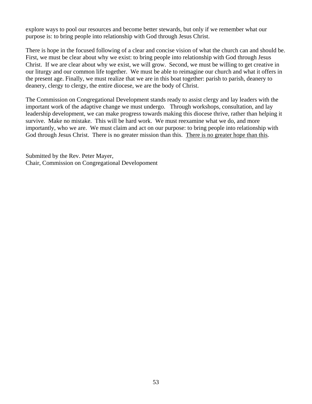explore ways to pool our resources and become better stewards, but only if we remember what our purpose is: to bring people into relationship with God through Jesus Christ.

There is hope in the focused following of a clear and concise vision of what the church can and should be. First, we must be clear about why we exist: to bring people into relationship with God through Jesus Christ. If we are clear about why we exist, we will grow. Second, we must be willing to get creative in our liturgy and our common life together. We must be able to reimagine our church and what it offers in the present age. Finally, we must realize that we are in this boat together: parish to parish, deanery to deanery, clergy to clergy, the entire diocese, we are the body of Christ.

The Commission on Congregational Development stands ready to assist clergy and lay leaders with the important work of the adaptive change we must undergo. Through workshops, consultation, and lay leadership development, we can make progress towards making this diocese thrive, rather than helping it survive. Make no mistake. This will be hard work. We must reexamine what we do, and more importantly, who we are. We must claim and act on our purpose: to bring people into relationship with God through Jesus Christ. There is no greater mission than this. There is no greater hope than this.

Submitted by the Rev. Peter Mayer, Chair, Commission on Congregational Developoment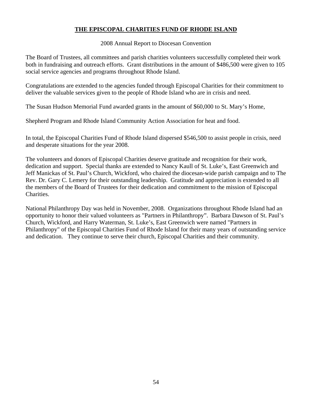# **THE EPISCOPAL CHARITIES FUND OF RHODE ISLAND**

#### 2008 Annual Report to Diocesan Convention

The Board of Trustees, all committees and parish charities volunteers successfully completed their work both in fundraising and outreach efforts. Grant distributions in the amount of \$486,500 were given to 105 social service agencies and programs throughout Rhode Island.

Congratulations are extended to the agencies funded through Episcopal Charities for their commitment to deliver the valuable services given to the people of Rhode Island who are in crisis and need.

The Susan Hudson Memorial Fund awarded grants in the amount of \$60,000 to St. Mary's Home,

Shepherd Program and Rhode Island Community Action Association for heat and food.

In total, the Episcopal Charities Fund of Rhode Island dispersed \$546,500 to assist people in crisis, need and desperate situations for the year 2008.

The volunteers and donors of Episcopal Charities deserve gratitude and recognition for their work, dedication and support. Special thanks are extended to Nancy Kaull of St. Luke's, East Greenwich and Jeff Manickas of St. Paul's Church, Wickford, who chaired the diocesan-wide parish campaign and to The Rev. Dr. Gary C. Lemery for their outstanding leadership. Gratitude and appreciation is extended to all the members of the Board of Trustees for their dedication and commitment to the mission of Episcopal Charities.

National Philanthropy Day was held in November, 2008. Organizations throughout Rhode Island had an opportunity to honor their valued volunteers as "Partners in Philanthropy". Barbara Dawson of St. Paul's Church, Wickford, and Harry Waterman, St. Luke's, East Greenwich were named "Partners in Philanthropy" of the Episcopal Charities Fund of Rhode Island for their many years of outstanding service and dedication. They continue to serve their church, Episcopal Charities and their community.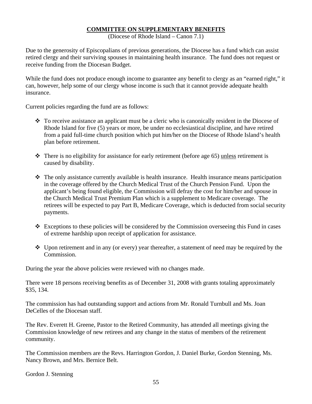#### **COMMITTEE ON SUPPLEMENTARY BENEFITS**

(Diocese of Rhode Island – Canon 7.1)

Due to the generosity of Episcopalians of previous generations, the Diocese has a fund which can assist retired clergy and their surviving spouses in maintaining health insurance. The fund does not request or receive funding from the Diocesan Budget.

While the fund does not produce enough income to guarantee any benefit to clergy as an "earned right," it can, however, help some of our clergy whose income is such that it cannot provide adequate health insurance.

Current policies regarding the fund are as follows:

- $\bullet$  To receive assistance an applicant must be a cleric who is canonically resident in the Diocese of Rhode Island for five (5) years or more, be under no ecclesiastical discipline, and have retired from a paid full-time church position which put him/her on the Diocese of Rhode Island's health plan before retirement.
- There is no eligibility for assistance for early retirement (before age 65) unless retirement is caused by disability.
- $\cdot \cdot$  The only assistance currently available is health insurance. Health insurance means participation in the coverage offered by the Church Medical Trust of the Church Pension Fund. Upon the applicant's being found eligible, the Commission will defray the cost for him/her and spouse in the Church Medical Trust Premium Plan which is a supplement to Medicare coverage. The retirees will be expected to pay Part B, Medicare Coverage, which is deducted from social security payments.
- $\div$  Exceptions to these policies will be considered by the Commission overseeing this Fund in cases of extreme hardship upon receipt of application for assistance.
- Upon retirement and in any (or every) year thereafter, a statement of need may be required by the Commission.

During the year the above policies were reviewed with no changes made.

There were 18 persons receiving benefits as of December 31, 2008 with grants totaling approximately \$35, 134.

The commission has had outstanding support and actions from Mr. Ronald Turnbull and Ms. Joan DeCelles of the Diocesan staff.

The Rev. Everett H. Greene, Pastor to the Retired Community, has attended all meetings giving the Commission knowledge of new retirees and any change in the status of members of the retirement community.

The Commission members are the Revs. Harrington Gordon, J. Daniel Burke, Gordon Stenning, Ms. Nancy Brown, and Mrs. Bernice Belt.

Gordon J. Stenning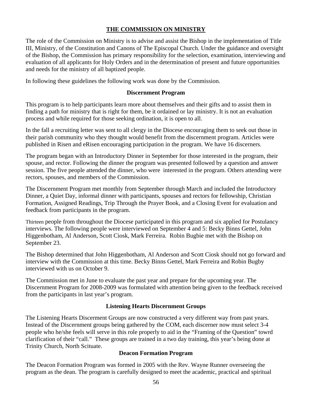# **THE COMMISSION ON MINISTRY**

The role of the Commission on Ministry is to advise and assist the Bishop in the implementation of Title III, Ministry, of the Constitution and Canons of The Episcopal Church. Under the guidance and oversight of the Bishop, the Commission has primary responsibility for the selection, examination, interviewing and evaluation of all applicants for Holy Orders and in the determination of present and future opportunities and needs for the ministry of all baptized people.

In following these guidelines the following work was done by the Commission.

#### **Discernment Program**

This program is to help participants learn more about themselves and their gifts and to assist them in finding a path for ministry that is right for them, be it ordained or lay ministry. It is not an evaluation process and while required for those seeking ordination, it is open to all.

In the fall a recruiting letter was sent to all clergy in the Diocese encouraging them to seek out those in their parish community who they thought would benefit from the discernment program. Articles were published in Risen and eRisen encouraging participation in the program. We have 16 discerners.

The program began with an Introductory Dinner in September for those interested in the program, their spouse, and rector. Following the dinner the program was presented followed by a question and answer session. The five people attended the dinner, who were interested in the program. Others attending were rectors, spouses, and members of the Commission.

The Discernment Program met monthly from September through March and included the Introductory Dinner, a Quiet Day, informal dinner with participants, spouses and rectors for fellowship, Christian Formation, Assigned Readings, Trip Through the Prayer Book, and a Closing Event for evaluation and feedback from participants in the program.

Thirteen people from throughout the Diocese participated in this program and six applied for Postulancy interviews. The following people were interviewed on September 4 and 5: Becky Binns Gettel, John Higgenbotham, Al Anderson, Scott Ciosk, Mark Ferreira. Robin Bugbie met with the Bishop on September 23.

The Bishop determined that John Higgenbotham, Al Anderson and Scott Ciosk should not go forward and interview with the Commission at this time. Becky Binns Gettel, Mark Ferreira and Robin Bugby interviewed with us on October 9.

The Commission met in June to evaluate the past year and prepare for the upcoming year. The Discernment Program for 2008-2009 was formulated with attention being given to the feedback received from the participants in last year's program.

#### **Listening Hearts Discernment Groups**

The Listening Hearts Discerment Groups are now constructed a very different way from past years. Instead of the Discernment groups being gathered by the COM, each discerner now must select 3-4 people who he/she feels will serve in this role properly to aid in the "Framing of the Question" towrd clarification of their "call." These groups are trained in a two day training, this year's being done at Trinity Church, North Scituate.

#### **Deacon Formation Program**

The Deacon Formation Program was formed in 2005 with the Rev. Wayne Runner overseeing the program as the dean. The program is carefully designed to meet the academic, practical and spiritual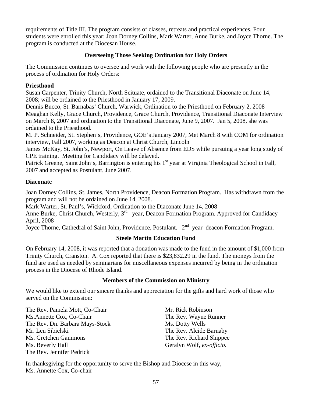requirements of Title III. The program consists of classes, retreats and practical experiences. Four students were enrolled this year: Joan Dorney Collins, Mark Warter, Anne Burke, and Joyce Thorne. The program is conducted at the Diocesan House.

### **Overseeing Those Seeking Ordination for Holy Orders**

The Commission continues to oversee and work with the following people who are presently in the process of ordination for Holy Orders:

### **Priesthood**

Susan Carpenter, Trinity Church, North Scituate, ordained to the Transitional Diaconate on June 14, 2008; will be ordained to the Priesthood in January 17, 2009.

Dennis Bucco, St. Barnabas' Church, Warwick, Ordination to the Priesthood on February 2, 2008 Meaghan Kelly, Grace Church, Providence, Grace Church, Providence, Transitional Diaconate Interview on March 8, 2007 and ordination to the Transitional Diaconate, June 9, 2007. Jan 5, 2008, she was ordained to the Priesthood.

M. P. Schneider, St. Stephen's, Providence, GOE's January 2007, Met March 8 with COM for ordination interview, Fall 2007, working as Deacon at Christ Church, Lincoln

James McKay, St. John's, Newport, On Leave of Absence from EDS while pursuing a year long study of CPE training. Meeting for Candidacy will be delayed.

Patrick Greene, Saint John's, Barrington is entering his 1<sup>st</sup> year at Virginia Theological School in Fall, 2007 and accepted as Postulant, June 2007.

## **Diaconate**

Joan Dorney Collins, St. James, North Providence, Deacon Formation Program. Has withdrawn from the program and will not be ordained on June 14, 2008.

Mark Warter, St. Paul's, Wickford, Ordination to the Diaconate June 14, 2008

Anne Burke, Christ Church, Westerly,  $3<sup>rd</sup>$  year, Deacon Formation Program. Approved for Candidacy April, 2008

Joyce Thorne, Cathedral of Saint John, Providence, Postulant. 2<sup>nd</sup> year deacon Formation Program.

# **Steele Martin Education Fund**

On February 14, 2008, it was reported that a donation was made to the fund in the amount of \$1,000 from Trinity Church, Cranston. A. Cox reported that there is \$23,832.29 in the fund. The moneys from the fund are used as needed by seminarians for miscellaneous expenses incurred by being in the ordination process in the Diocese of Rhode Island.

#### **Members of the Commission on Ministry**

We would like to extend our sincere thanks and appreciation for the gifts and hard work of those who served on the Commission:

The Rev. Pamela Mott, Co-Chair Ms.Annette Cox, Co-Chair The Rev. Dn. Barbara Mays-Stock Mr. Len Sibielski Ms. Gretchen Gammons Ms. Beverly Hall The Rev. Jennifer Pedrick

Mr. Rick Robinson The Rev. Wayne Runner Ms. Dotty Wells The Rev. Alcide Barnaby The Rev. Richard Shippee Geralyn Wolf, *ex-officio*.

In thanksgiving for the opportunity to serve the Bishop and Diocese in this way, Ms. Annette Cox, Co-chair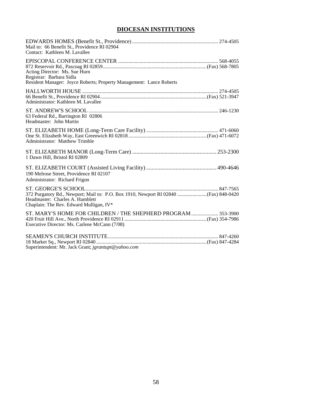# **DIOCESAN INSTITUTIONS**

| Mail to: 66 Benefit St., Providence RI 02904<br>Contact: Kathleen M. Lavallee                                                    |  |
|----------------------------------------------------------------------------------------------------------------------------------|--|
| Acting Director: Ms. Sue Hurn<br>Registrar: Barbara Sidla<br>Resident Manager: Joyce Roberts; Property Management: Lance Roberts |  |
| Administrator: Kathleen M. Lavallee                                                                                              |  |
| 63 Federal Rd., Barrington RI 02806<br>Headmaster: John Martin                                                                   |  |
| <b>Administrator: Matthew Trimble</b>                                                                                            |  |
| 1 Dawn Hill, Bristol RI 02809                                                                                                    |  |
| 190 Melrose Street, Providence RI 02107<br>Administrator: Richard Frigon                                                         |  |
| Headmaster: Charles A. Hamblett<br>Chaplain: The Rev. Edward Mulligan, IV*                                                       |  |
| ST. MARY'S HOME FOR CHILDREN / THE SHEPHERD PROGRAM  353-3900<br>Executive Director: Ms. Carlene McCann (7/08)                   |  |
| Superintendent: Mr. Jack Grant; jgrantupt@yahoo.com                                                                              |  |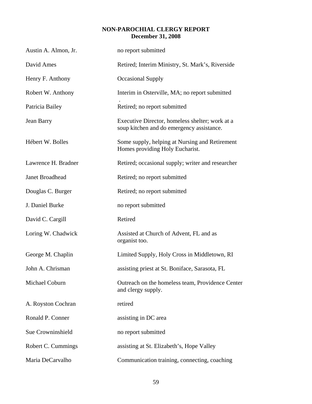## **NON-PAROCHIAL CLERGY REPORT December 31, 2008**

| Austin A. Almon, Jr.   | no report submitted                                                                          |
|------------------------|----------------------------------------------------------------------------------------------|
| David Ames             | Retired; Interim Ministry, St. Mark's, Riverside                                             |
| Henry F. Anthony       | <b>Occasional Supply</b>                                                                     |
| Robert W. Anthony      | Interim in Osterville, MA; no report submitted                                               |
| Patricia Bailey        | Retired; no report submitted                                                                 |
| Jean Barry             | Executive Director, homeless shelter; work at a<br>soup kitchen and do emergency assistance. |
| Hébert W. Bolles       | Some supply, helping at Nursing and Retirement<br>Homes providing Holy Eucharist.            |
| Lawrence H. Bradner    | Retired; occasional supply; writer and researcher                                            |
| <b>Janet Broadhead</b> | Retired; no report submitted                                                                 |
| Douglas C. Burger      | Retired; no report submitted                                                                 |
| J. Daniel Burke        | no report submitted                                                                          |
| David C. Cargill       | Retired                                                                                      |
| Loring W. Chadwick     | Assisted at Church of Advent, FL and as<br>organist too.                                     |
| George M. Chaplin      | Limited Supply, Holy Cross in Middletown, RI                                                 |
| John A. Chrisman       | assisting priest at St. Boniface, Sarasota, FL                                               |
| Michael Coburn         | Outreach on the homeless team, Providence Center<br>and clergy supply.                       |
| A. Royston Cochran     | retired                                                                                      |
| Ronald P. Conner       | assisting in DC area                                                                         |
| Sue Crowninshield      | no report submitted                                                                          |
| Robert C. Cummings     | assisting at St. Elizabeth's, Hope Valley                                                    |
| Maria DeCarvalho       | Communication training, connecting, coaching                                                 |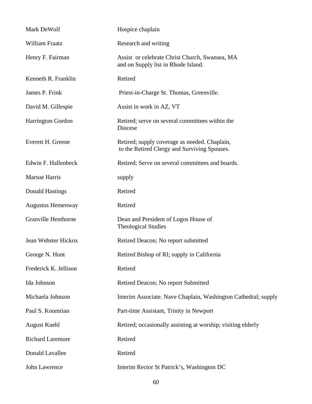| Mark DeWolf                | Hospice chaplain                                                                              |
|----------------------------|-----------------------------------------------------------------------------------------------|
| William Fraatz             | Research and writing                                                                          |
| Henry F. Fairman           | Assist or celebrate Christ Church, Swansea, MA<br>and on Supply list in Rhode Island.         |
| Kenneth R. Franklin        | Retired                                                                                       |
| James P. Frink             | Priest-in-Charge St. Thomas, Greenville.                                                      |
| David M. Gillespie         | Assist in work in AZ, VT                                                                      |
| Harrington Gordon          | Retired; serve on several committees within the<br>Diocese                                    |
| Everett H. Greene          | Retired; supply coverage as needed. Chaplain,<br>to the Retired Clergy and Surviving Spouses. |
| Edwin F. Hallenbeck        | Retired; Serve on several committees and boards.                                              |
| Marsue Harris              | supply                                                                                        |
| <b>Donald Hastings</b>     | Retired                                                                                       |
| <b>Augustus Hemenway</b>   | Retired                                                                                       |
| <b>Granville Henthorne</b> | Dean and President of Logos House of<br><b>Theological Studies</b>                            |
| Jean Webster Hickox        | Retired Deacon; No report submitted                                                           |
| George N. Hunt             | Retired Bishop of RI; supply in California                                                    |
| Frederick K. Jellison      | Retired                                                                                       |
| Ida Johnson                | Retired Deacon; No report Submitted                                                           |
| Michaela Johnson           | Interim Associate. Nave Chaplain, Washington Cathedral; supply                                |
| Paul S. Koumrian           | Part-time Assistant, Trinity in Newport                                                       |
| <b>August Kuehl</b>        | Retired; occasionally assisting at worship; visiting elderly                                  |
| <b>Richard Laremore</b>    | Retired                                                                                       |
| Donald Lavallee            | Retired                                                                                       |
| John Lawrence              | Interim Rector St Patrick's, Washington DC                                                    |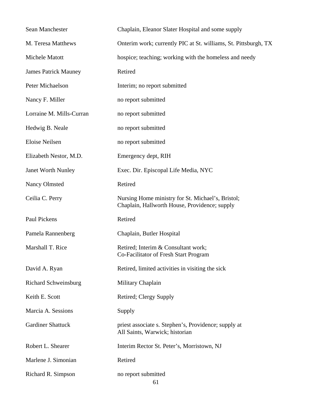| Sean Manchester             | Chaplain, Eleanor Slater Hospital and some supply                                                  |
|-----------------------------|----------------------------------------------------------------------------------------------------|
| M. Teresa Matthews          | Onterim work; currently PIC at St. williams, St. Pittsburgh, TX                                    |
| Michele Matott              | hospice; teaching; working with the homeless and needy                                             |
| <b>James Patrick Mauney</b> | Retired                                                                                            |
| Peter Michaelson            | Interim; no report submitted                                                                       |
| Nancy F. Miller             | no report submitted                                                                                |
| Lorraine M. Mills-Curran    | no report submitted                                                                                |
| Hedwig B. Neale             | no report submitted                                                                                |
| Eloise Neilsen              | no report submitted                                                                                |
| Elizabeth Nestor, M.D.      | Emergency dept, RIH                                                                                |
| <b>Janet Worth Nunley</b>   | Exec. Dir. Episcopal Life Media, NYC                                                               |
| Nancy Olmsted               | Retired                                                                                            |
| Ceilia C. Perry             | Nursing Home ministry for St. Michael's, Bristol;<br>Chaplain, Hallworth House, Providence; supply |
| Paul Pickens                | Retired                                                                                            |
| Pamela Rannenberg           | Chaplain, Butler Hospital                                                                          |
| Marshall T. Rice            | Retired; Interim & Consultant work;<br>Co-Facilitator of Fresh Start Program                       |
| David A. Ryan               | Retired, limited activities in visiting the sick                                                   |
| <b>Richard Schweinsburg</b> | Military Chaplain                                                                                  |
| Keith E. Scott              | Retired; Clergy Supply                                                                             |
| Marcia A. Sessions          | Supply                                                                                             |
| <b>Gardiner Shattuck</b>    | priest associate s. Stephen's, Providence; supply at<br>All Saints, Warwick; historian             |
| Robert L. Shearer           | Interim Rector St. Peter's, Morristown, NJ                                                         |
| Marlene J. Simonian         | Retired                                                                                            |
| Richard R. Simpson          | no report submitted<br>61                                                                          |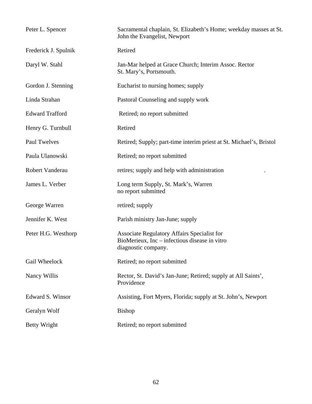| Peter L. Spencer       | Sacramental chaplain, St. Elizabeth's Home; weekday masses at St.<br>John the Evangelist, Newport                          |
|------------------------|----------------------------------------------------------------------------------------------------------------------------|
| Frederick J. Spulnik   | Retired                                                                                                                    |
| Daryl W. Stahl         | Jan-Mar helped at Grace Church; Interim Assoc. Rector<br>St. Mary's, Portsmouth.                                           |
| Gordon J. Stenning     | Eucharist to nursing homes; supply                                                                                         |
| Linda Strahan          | Pastoral Counseling and supply work                                                                                        |
| <b>Edward Trafford</b> | Retired; no report submitted                                                                                               |
| Henry G. Turnbull      | Retired                                                                                                                    |
| <b>Paul Twelves</b>    | Retired; Supply; part-time interim priest at St. Michael's, Bristol                                                        |
| Paula Ulanowski        | Retired; no report submitted                                                                                               |
| Robert Vanderau        | retires; supply and help with administration                                                                               |
| James L. Verber        | Long term Supply, St. Mark's, Warren<br>no report submitted                                                                |
| George Warren          | retired; supply                                                                                                            |
| Jennifer K. West       | Parish ministry Jan-June; supply                                                                                           |
| Peter H.G. Westhorp    | <b>Associate Regulatory Affairs Specialist for</b><br>BioMerieux, Inc – infectious disease in vitro<br>diagnostic company. |
| Gail Wheelock          | Retired; no report submitted                                                                                               |
| Nancy Willis           | Rector, St. David's Jan-June; Retired; supply at All Saints',<br>Providence                                                |
| Edward S. Winsor       | Assisting, Fort Myers, Florida; supply at St. John's, Newport                                                              |
| Geralyn Wolf           | <b>Bishop</b>                                                                                                              |
| Betty Wright           | Retired; no report submitted                                                                                               |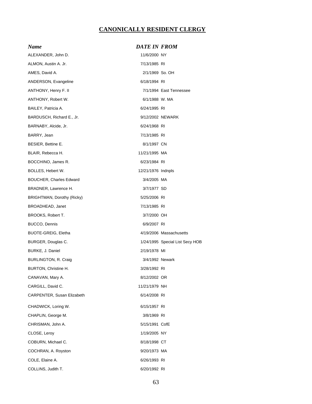# **CANONICALLY RESIDENT CLERGY**

| Name                           | <b>DATE IN FROM</b> |                                 |
|--------------------------------|---------------------|---------------------------------|
| ALEXANDER, John D.             | 11/6/2000 NY        |                                 |
| ALMON, Austin A. Jr.           | 7/13/1985 RI        |                                 |
| AMES, David A.                 | 2/1/1969 So. OH     |                                 |
| ANDERSON, Evangeline           | 6/18/1994 RI        |                                 |
| ANTHONY, Henry F. II           |                     | 7/1/1994 East Tennessee         |
| ANTHONY, Robert W.             | 6/1/1988 W. MA      |                                 |
| BAILEY, Patricia A.            | 6/24/1995 RI        |                                 |
| BARDUSCH, Richard E., Jr.      |                     | 9/12/2002 NEWARK                |
| BARNABY, Alcide, Jr.           | 6/24/1968 RI        |                                 |
| BARRY, Jean                    | 7/13/1985 RI        |                                 |
| BESIER, Bettine E.             | 8/1/1997 CN         |                                 |
| BLAIR, Rebecca H.              | 11/21/1995 MA       |                                 |
| BOCCHINO, James R.             | 6/23/1984 RI        |                                 |
| BOLLES, Hebert W.              | 12/21/1976 Indnpls  |                                 |
| <b>BOUCHER, Charles Edward</b> | 3/4/2005 MA         |                                 |
| BRADNER, Lawrence H.           | 3/7/1977 SD         |                                 |
| BRIGHTMAN, Dorothy (Ricky)     | 5/25/2006 RI        |                                 |
| BROADHEAD, Janet               | 7/13/1985 RI        |                                 |
| BROOKS, Robert T.              | 3/7/2000 OH         |                                 |
| BUCCO, Dennis                  | 6/9/2007 RI         |                                 |
| BUOTE-GREIG, Eletha            |                     | 4/19/2006 Massachusetts         |
| BURGER, Douglas C.             |                     | 1/24/1995 Special List Secy HOB |
| BURKE, J. Daniel               | 2/19/1978 MI        |                                 |
| BURLINGTON, R. Craig           | 3/4/1992 Newark     |                                 |
| <b>BURTON, Christine H.</b>    | 3/28/1992 RI        |                                 |
| CANAVAN, Mary A.               | 8/12/2002 OR        |                                 |
| CARGILL, David C.              | 11/21/1979 NH       |                                 |
| CARPENTER, Susan Elizabeth     | 6/14/2008 RI        |                                 |
| CHADWICK, Loring W.            | 6/15/1957 RI        |                                 |
| CHAPLIN, George M.             | 3/8/1969 RI         |                                 |
| CHRISMAN, John A.              | 5/15/1991 CofE      |                                 |
| CLOSE, Leroy                   | 1/19/2005 NY        |                                 |
| COBURN, Michael C.             | 8/18/1998 CT        |                                 |
| COCHRAN, A. Royston            | 9/20/1973 MA        |                                 |
| COLE, Elaine A.                | 6/26/1993 RI        |                                 |
| COLLINS, Judith T.             | 6/20/1992 RI        |                                 |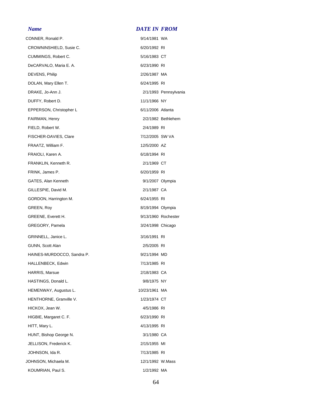#### *Name DATE IN FROM*

| CONNER, Ronald P.          | 9/14/1981 WA      |                       |
|----------------------------|-------------------|-----------------------|
| CROWNINSHIELD, Susie C.    | 6/20/1992 RI      |                       |
| CUMMINGS, Robert C.        | 5/16/1983 CT      |                       |
| DeCARVALO, Maria E. A.     | 6/23/1990 RI      |                       |
| DEVENS, Philip             | 2/26/1987 MA      |                       |
| DOLAN, Mary Ellen T.       | 6/24/1995 RI      |                       |
| DRAKE, Jo-Ann J.           |                   | 2/1/1993 Pennsylvania |
| DUFFY, Robert D.           | 11/1/1966 NY      |                       |
| EPPERSON, Christopher L    | 6/11/2006 Atlanta |                       |
| FAIRMAN, Henry             |                   | 2/2/1982 Bethlehem    |
| FIELD, Robert W.           | 2/4/1989 RI       |                       |
| FISCHER-DAVIES, Clare      | 7/12/2005 SW VA   |                       |
| FRAATZ, William F.         | 12/5/2000 AZ      |                       |
| FRAIOLI, Karen A.          | 6/18/1994 RI      |                       |
| FRANKLIN, Kenneth R.       | 2/1/1969 CT       |                       |
| FRINK, James P.            | 6/20/1959 RI      |                       |
| GATES, Alan Kenneth        | 9/1/2007 Olympia  |                       |
| GILLESPIE, David M.        | 2/1/1987 CA       |                       |
| GORDON, Harrington M.      | 6/24/1955 RI      |                       |
| GREEN, Roy                 | 8/19/1994 Olympia |                       |
| GREENE, Everett H.         |                   | 9/13/1960 Rochester   |
| GREGORY, Pamela            | 3/24/1998 Chicago |                       |
| GRINNELL, Janice L.        | 3/16/1991 RI      |                       |
| GUNN, Scott Alan           | 2/5/2005 RI       |                       |
| HAINES-MURDOCCO, Sandra P. | 9/21/1994 MD      |                       |
| HALLENBECK, Edwin          | 7/13/1985 RI      |                       |
| <b>HARRIS, Marsue</b>      | 2/18/1983 CA      |                       |
| HASTINGS, Donald L.        | 9/8/1975 NY       |                       |
| HEMENWAY, Augustus L.      | 10/23/1961 MA     |                       |
| HENTHORNE, Granville V.    | 1/23/1974 CT      |                       |
| HICKOX, Jean W.            | 4/5/1986 RI       |                       |
| HIGBIE, Margaret C. F.     | 6/23/1990 RI      |                       |
| HITT, Mary L.              | 4/13/1995 RI      |                       |
| HUNT, Bishop George N.     | 3/1/1980 CA       |                       |
| JELLISON, Frederick K.     | 2/15/1955 MI      |                       |
| JOHNSON, Ida R.            | 7/13/1985 RI      |                       |
| JOHNSON, Michaela M.       | 12/1/1992 W.Mass  |                       |
| KOUMRIAN, Paul S.          | 1/2/1992 MA       |                       |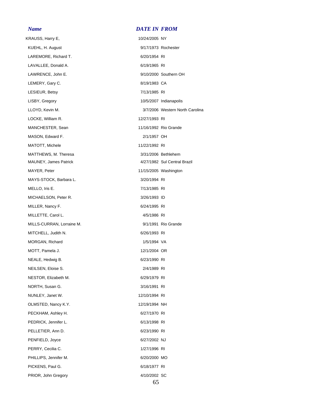KRAUSS, Harry E, 10/24/2005 NY KUEHL, H. August **600 COVERTS** 9/17/1973 Rochester LAREMORE, Richard T. 6/20/1954 RI LAVALLEE, Donald A. 6/19/1965 RI LAWRENCE, John E. 68 and 100 and 100 and 100 and 100 and 100 and 100 and 100 and 100 and 100 and 100 and 100 and 100 and 100 and 100 and 100 and 100 and 100 and 100 and 100 and 100 and 100 and 100 and 100 and 100 and 100 a LEMERY, Gary C. 68/19/1983 CA LESIEUR, Betsy 7/13/1985 RI LISBY, Gregory 2007 10/5/2007 Indianapolis LLOYD, Kevin M. **All and Struth Carolina** 3/7/2006 Western North Carolina LOCKE, William R. 12/27/1993 RI MANCHESTER, Sean 11/16/1992 Rio Grande MASON, Edward F. 2/1/1957 OH MATOTT, Michele 11/22/1992 RI MATTHEWS, M. Theresa 3/31/2006 Bethlehem MAUNEY, James Patrick 4/27/1982 Sul Central Brazil MAYER, Peter **11/15/2005** Washington MAYS-STOCK, Barbara L. 3/20/1994 RI MELLO, Iris E. 2002. 2003. 2004. 2012. 2013/1985 RI MICHAELSON, Peter R. 3/26/1993 ID MILLER, Nancy F. 6/24/1995 RI MILLETTE, Carol L. **Allen Carol Lewis Contract Carol** 4/5/1986 RI MILLS-CURRAN, Lorraine M. 68 and 19/1/1991 Rio Grande MITCHELL, Judith N. 6/26/1993 RI MORGAN, Richard 1/5/1994 VA MOTT, Pamela J. 12/1/2004 OR NEALE, Hedwig B. 6/23/1990 RI NEILSEN, Eloise S. 2/4/1989 RI NESTOR, Elizabeth M. 6/29/1979 RI NORTH, Susan G. 3/16/1991 RI NUNLEY, Janet W. 12/10/1994 RI OLMSTED, Nancy K.Y. 12/19/1994 NH PECKHAM, Ashley H. 6/27/1970 RI PEDRICK, Jennifer L. 6/13/1998 RI PELLETIER, Ann D. 6/23/1990 RI PENFIELD, Joyce 6/27/2002 NJ PERRY, Cecilia C. 1/27/1996 RI PHILLIPS, Jennifer M. 6/20/2000 MO PICKENS, Paul G. 6/18/1977 RI PRIOR, John Gregory 4/10/2002 SC

#### *Name DATE IN FROM*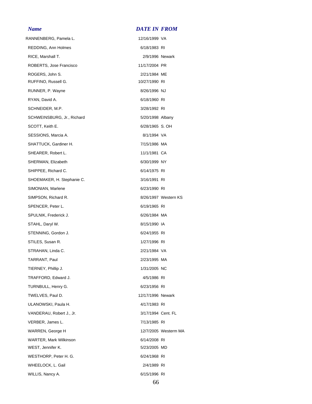# *Name DATE IN FROM*

| RANNENBERG, Pamela L.      | 12/16/1999 VA      |                      |
|----------------------------|--------------------|----------------------|
| REDDING, Ann Holmes        | 6/18/1983 RI       |                      |
| RICE, Marshall T.          | 2/9/1996 Newark    |                      |
| ROBERTS, Jose Francisco    | 11/17/2004 PR      |                      |
| ROGERS, John S.            | 2/21/1984 ME       |                      |
| RUFFINO, Russell G.        | 10/27/1990 RI      |                      |
| RUNNER, P. Wayne           | 8/26/1996 NJ       |                      |
| RYAN, David A.             | 6/18/1960 RI       |                      |
| SCHNEIDER, M.P.            | 3/28/1992 RI       |                      |
| SCHWEINSBURG, Jr., Richard | 5/20/1998 Albany   |                      |
| SCOTT, Keith E.            | 6/28/1965 S. OH    |                      |
| SESSIONS, Marcia A.        | 8/1/1994 VA        |                      |
| SHATTUCK, Gardiner H.      | 7/15/1986 MA       |                      |
| SHEARER, Robert L.         | 11/1/1981 CA       |                      |
| SHERMAN, Elizabeth         | 6/30/1999 NY       |                      |
| SHIPPEE, Richard C.        | 6/14/1975 RI       |                      |
| SHOEMAKER, H. Stephanie C. | 3/16/1991 RI       |                      |
| SIMONIAN, Marlene          | 6/23/1990 RI       |                      |
| SIMPSON, Richard R.        |                    | 8/26/1997 Western KS |
| SPENCER, Peter L.          | 6/19/1965 RI       |                      |
| SPULNIK, Frederick J.      | 6/26/1984 MA       |                      |
| STAHL, Daryl W.            | 8/15/1990 IA       |                      |
| STENNING, Gordon J.        | 6/24/1955 RI       |                      |
| STILES, Susan R.           | 1/27/1996 RI       |                      |
| STRAHAN, Linda C.          | 2/21/1984 VA       |                      |
| TARRANT, Paul              | 2/23/1995 MA       |                      |
| TIERNEY, Phillip J.        | 1/31/2005 NC       |                      |
| TRAFFORD, Edward J.        | 4/5/1986 RI        |                      |
| TURNBULL, Henry G.         | 6/23/1956 RI       |                      |
| TWELVES, Paul D.           | 12/17/1996 Newark  |                      |
| ULANOWSKI, Paula H.        | 4/17/1983 RI       |                      |
| VANDERAU, Robert J., Jr.   | 3/17/1994 Cent. FL |                      |
| VERBER, James L.           | 7/13/1985 RI       |                      |
| WARREN, George H           |                    | 12/7/2005 Westerm MA |
| WARTER, Mark Wilkinson     | 6/14/2008 RI       |                      |
| WEST, Jennifer K.          | 5/23/2005 MD       |                      |
| WESTHORP, Peter H. G.      | 6/24/1968 RI       |                      |
| WHEELOCK, L. Gail          | 2/4/1989 RI        |                      |
| WILLIS, Nancy A.           | 6/15/1996 RI       |                      |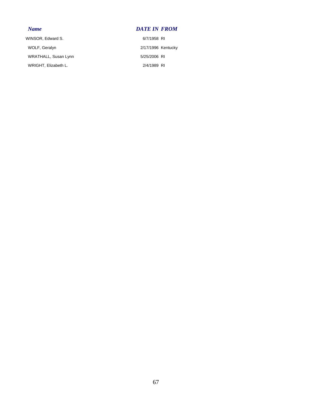### *Name DATE IN FROM*

WINSOR, Edward S. 6/7/1958 RI WOLF, Geralyn 2/17/1996 Kentucky WRATHALL, Susan Lynn 5/25/2006 RI WRIGHT, Elizabeth L. 2/4/1989 RI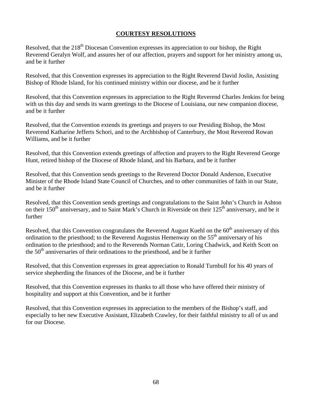## **COURTESY RESOLUTIONS**

Resolved, that the 218<sup>th</sup> Diocesan Convention expresses its appreciation to our bishop, the Right Reverend Geralyn Wolf, and assures her of our affection, prayers and support for her ministry among us, and be it further

Resolved, that this Convention expresses its appreciation to the Right Reverend David Joslin, Assisting Bishop of Rhode Island, for his continued ministry within our diocese, and be it further

Resolved, that this Convention expresses its appreciation to the Right Reverend Charles Jenkins for being with us this day and sends its warm greetings to the Diocese of Louisiana, our new companion diocese, and be it further

Resolved, that the Convention extends its greetings and prayers to our Presiding Bishop, the Most Reverend Katharine Jefferts Schori, and to the Archbishop of Canterbury, the Most Reverend Rowan Williams, and be it further

Resolved, that this Convention extends greetings of affection and prayers to the Right Reverend George Hunt, retired bishop of the Diocese of Rhode Island, and his Barbara, and be it further

Resolved, that this Convention sends greetings to the Reverend Doctor Donald Anderson, Executive Minister of the Rhode Island State Council of Churches, and to other communities of faith in our State, and be it further

Resolved, that this Convention sends greetings and congratulations to the Saint John's Church in Ashton on their  $150<sup>th</sup>$  anniversary, and to Saint Mark's Church in Riverside on their  $125<sup>th</sup>$  anniversary, and be it further

Resolved, that this Convention congratulates the Reverend August Kuehl on the 60<sup>th</sup> anniversary of this ordination to the priesthood; to the Reverend Augustus Hemenway on the  $55<sup>th</sup>$  anniversary of his ordination to the priesthood; and to the Reverends Norman Catir, Loring Chadwick, and Keith Scott on the  $50<sup>th</sup>$  anniversaries of their ordinations to the priesthood, and be it further

Resolved, that this Convention expresses its great appreciation to Ronald Turnbull for his 40 years of service shepherding the finances of the Diocese, and be it further

Resolved, that this Convention expresses its thanks to all those who have offered their ministry of hospitality and support at this Convention, and be it further

Resolved, that this Convention expresses its appreciation to the members of the Bishop's staff, and especially to her new Executive Assistant, Elizabeth Crawley, for their faithful ministry to all of us and for our Diocese.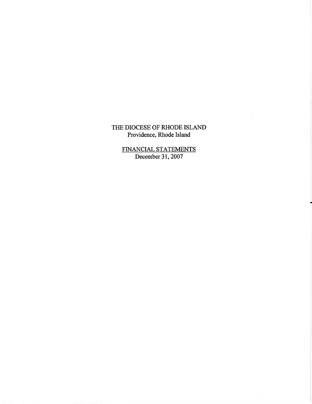# THE DIOCESE OF RHODE ISLAND Providence, Rhode Island

FINANCIAL STATEMENTS<br>December 31, 2007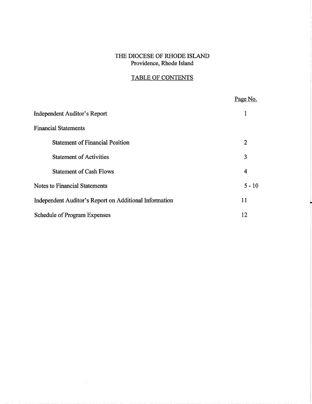# THE DIOCESE OF RHODE ISLAND Providence, Rhode Island

# TABLE OF CONTENTS

|                                                        | Page No.       |
|--------------------------------------------------------|----------------|
| Independent Auditor's Report                           |                |
| <b>Financial Statements</b>                            |                |
| <b>Statement of Financial Position</b>                 | $\overline{2}$ |
| <b>Statement of Activities</b>                         | 3              |
| <b>Statement of Cash Flows</b>                         | 4              |
| <b>Notes to Financial Statements</b>                   | $5 - 10$       |
| Independent Auditor's Report on Additional Information | 11             |
| <b>Schedule of Program Expenses</b>                    | 12             |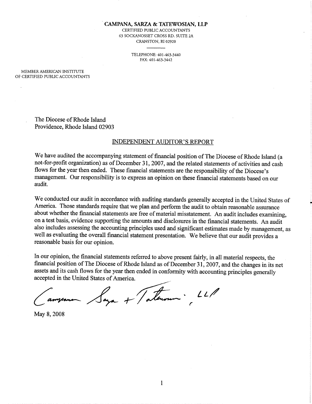#### CAMPANA, SARZA & TATEWOSIAN, LLP

CERTIFIED PUBLIC ACCOUNTANTS **63 SOCKANOSSET CROSS RD. SUITE 2A** CRANSTON, RI 02920

> TELEPHONE: 401-463-3440 FAX: 401-463-3442

MEMBER AMERICAN INSTITUTE OF CERTIFIED PUBLIC ACCOUNTANTS

> The Diocese of Rhode Island Providence, Rhode Island 02903

#### **INDEPENDENT AUDITOR'S REPORT**

We have audited the accompanying statement of financial position of The Diocese of Rhode Island (a not-for-profit organization) as of December 31, 2007, and the related statements of activities and cash flows for the year then ended. These financial statements are the responsibility of the Diocese's management. Our responsibility is to express an opinion on these financial statements based on our audit.

We conducted our audit in accordance with auditing standards generally accepted in the United States of America. Those standards require that we plan and perform the audit to obtain reasonable assurance about whether the financial statements are free of material misstatement. An audit includes examining, on a test basis, evidence supporting the amounts and disclosures in the financial statements. An audit also includes assessing the accounting principles used and significant estimates made by management, as well as evaluating the overall financial statement presentation. We believe that our audit provides a reasonable basis for our opinion.

In our opinion, the financial statements referred to above present fairly, in all material respects, the financial position of The Diocese of Rhode Island as of December 31, 2007, and the changes in its net assets and its cash flows for the year then ended in conformity with accounting principles generally accepted in the United States of America.

Vaga + Taterson : LLP

May 8, 2008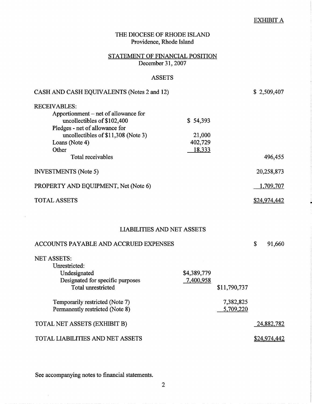## **EXHIBIT A**

\$24,974,442

| THE DIOCESE OF RHODE ISLAND<br>Providence, Rhode Island                                                                                                                                        |                                         |                        |    |                     |
|------------------------------------------------------------------------------------------------------------------------------------------------------------------------------------------------|-----------------------------------------|------------------------|----|---------------------|
| STATEMENT OF FINANCIAL POSITION<br>December 31, 2007                                                                                                                                           |                                         |                        |    |                     |
| <b>ASSETS</b>                                                                                                                                                                                  |                                         |                        |    |                     |
| CASH AND CASH EQUIVALENTS (Notes 2 and 12)                                                                                                                                                     |                                         |                        |    | \$2,509,407         |
| <b>RECEIVABLES:</b><br>Apportionment – net of allowance for<br>uncollectibles of \$102,400<br>Pledges - net of allowance for<br>uncollectibles of \$11,308 (Note 3)<br>Loans (Note 4)<br>Other | \$54,393<br>21,000<br>402,729<br>18,333 |                        |    |                     |
| Total receivables                                                                                                                                                                              |                                         |                        |    | 496,455             |
| <b>INVESTMENTS</b> (Note 5)                                                                                                                                                                    |                                         |                        |    | 20,258,873          |
| PROPERTY AND EQUIPMENT, Net (Note 6)                                                                                                                                                           |                                         |                        |    | 1,709,707           |
| <b>TOTAL ASSETS</b>                                                                                                                                                                            |                                         |                        |    | <u>\$24,974,442</u> |
| <b>LIABILITIES AND NET ASSETS</b>                                                                                                                                                              |                                         |                        |    |                     |
| ACCOUNTS PAYABLE AND ACCRUED EXPENSES                                                                                                                                                          |                                         |                        | \$ | 91,660              |
| <b>NET ASSETS:</b><br>Unrestricted:<br>Undesignated<br>Designated for specific purposes<br><b>Total unrestricted</b>                                                                           | \$4,389,779<br>7,400,958                | \$11,790,737           |    |                     |
| Temporarily restricted (Note 7)<br>Permanently restricted (Note 8)                                                                                                                             |                                         | 7,382,825<br>5,709,220 |    |                     |
| TOTAL NET ASSETS (EXHIBIT B)                                                                                                                                                                   |                                         |                        |    | 24,882,782          |

TOTAL LIABILITIES AND NET ASSETS

 $\hat{\mathcal{A}}$ 

See accompanying notes to financial statements.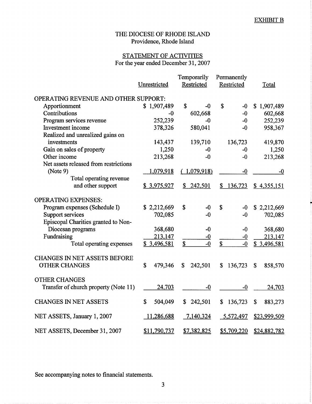# STATEMENT OF ACTIVITIES For the year ended December 31, 2007

|                                       |               | Temporarily   | Permanently   |                                      |
|---------------------------------------|---------------|---------------|---------------|--------------------------------------|
|                                       | Unrestricted  | Restricted    | Restricted    | Total                                |
|                                       |               |               |               |                                      |
| OPERATING REVENUE AND OTHER SUPPORT:  |               |               |               |                                      |
| Apportionment                         | \$1,907,489   | \$<br>-0      | \$<br>$-0$    | \$1,907,489                          |
| Contributions                         | -0            | 602,668       | $-0$          | 602,668                              |
| Program services revenue              | 252,239       | $-0$          | $-0$          | 252,239                              |
| Investment income                     | 378,326       | 580,041       | $-0$          | 958,367                              |
| Realized and unrealized gains on      |               |               |               |                                      |
| investments                           | 143,437       | 139,710       | 136,723       | 419,870                              |
| Gain on sales of property             | 1,250         | $-0$          | $-0$          | 1,250                                |
| Other income                          | 213,268       | $-0$          | $-0$          | 213,268                              |
| Net assets released from restrictions |               |               |               |                                      |
| (Note 9)                              | 1,079,918     | (1,079,918)   | $-0$          | $-0$                                 |
| Total operating revenue               |               |               |               |                                      |
| and other support                     | \$3,975,927   | \$242,501     | 136,723<br>\$ | \$4,355,151                          |
|                                       |               |               |               |                                      |
| <b>OPERATING EXPENSES:</b>            |               |               |               |                                      |
| Program expenses (Schedule I)         | \$2,212,669   | \$<br>$-0$    | \$<br>$-0$    | \$2,212,669                          |
| Support services                      | 702,085       | $-0$          | $-0$          | 702,085                              |
| Episcopal Charities granted to Non-   |               |               |               |                                      |
| Diocesan programs                     | 368,680       | $-0$          | $-0$          | 368,680                              |
| Fundraising                           | 213,147       | $-0$          | $-0$          | 213,147                              |
| Total operating expenses              | \$3,496,581   | \$<br>$-0$    | \$<br>$-0$    | \$3,496,581                          |
|                                       |               |               |               |                                      |
| <b>CHANGES IN NET ASSETS BEFORE</b>   |               |               |               |                                      |
| <b>OTHER CHANGES</b>                  | \$            |               |               |                                      |
|                                       | 479,346       | \$<br>242,501 | 136,723<br>\$ | $\boldsymbol{\mathsf{S}}$<br>858,570 |
|                                       |               |               |               |                                      |
| <b>OTHER CHANGES</b>                  |               |               |               |                                      |
| Transfer of church property (Note 11) | 24,703        | $-0$          | $-0$          | 24,703                               |
|                                       |               |               |               |                                      |
| <b>CHANGES IN NET ASSETS</b>          | \$<br>504,049 | \$242,501     | \$<br>136,723 | \$<br>883,273                        |
|                                       |               |               |               |                                      |
| NET ASSETS, January 1, 2007           | 11,286,688    | 7,140,324     | 5,572,497     | \$23,999,509                         |
|                                       |               |               |               |                                      |
| NET ASSETS, December 31, 2007         | \$11,790,737  | \$7,382,825   | \$5,709,220   | \$24,882,782                         |

See accompanying notes to financial statements.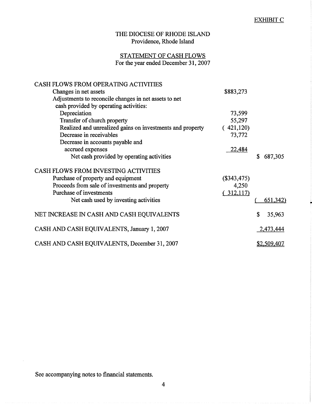### **EXHIBIT C**

# THE DIOCESE OF RHODE ISLAND Providence, Rhode Island

# STATEMENT OF CASH FLOWS<br>For the year ended December 31, 2007

| <b>CASH FLOWS FROM OPERATING ACTIVITIES</b>               |               |                   |
|-----------------------------------------------------------|---------------|-------------------|
| Changes in net assets                                     | \$883,273     |                   |
| Adjustments to reconcile changes in net assets to net     |               |                   |
| cash provided by operating activities:                    |               |                   |
| Depreciation                                              | 73,599        |                   |
| Transfer of church property                               | 55,297        |                   |
| Realized and unrealized gains on investments and property | (421,120)     |                   |
| Decrease in receivables                                   | 73,772        |                   |
| Decrease in accounts payable and                          |               |                   |
| accrued expenses                                          | 22,484        |                   |
| Net cash provided by operating activities                 |               | 687,305<br>S      |
| <b>CASH FLOWS FROM INVESTING ACTIVITIES</b>               |               |                   |
| Purchase of property and equipment                        | $(\$343,475)$ |                   |
| Proceeds from sale of investments and property            | 4,250         |                   |
| Purchase of investments                                   | (312,117)     |                   |
| Net cash used by investing activities                     |               | <u>(651,342</u> ) |
| NET INCREASE IN CASH AND CASH EQUIVALENTS                 |               | \$<br>35,963      |
| CASH AND CASH EQUIVALENTS, January 1, 2007                |               | 2,473,444         |
| CASH AND CASH EQUIVALENTS, December 31, 2007              |               | \$2,509,407       |

See accompanying notes to financial statements.

 $\hat{\boldsymbol{\gamma}}$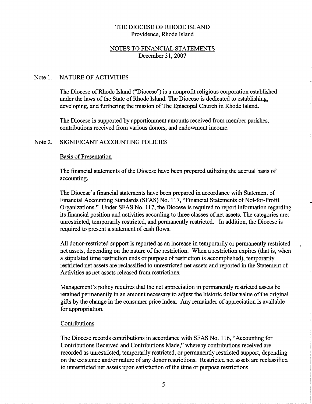### NOTES TO FINANCIAL STATEMENTS December 31, 2007

#### Note 1. **NATURE OF ACTIVITIES**

The Diocese of Rhode Island ("Diocese") is a nonprofit religious corporation established under the laws of the State of Rhode Island. The Diocese is dedicated to establishing, developing, and furthering the mission of The Episcopal Church in Rhode Island.

The Diocese is supported by apportionment amounts received from member parishes, contributions received from various donors, and endowment income.

#### Note 2. SIGNIFICANT ACCOUNTING POLICIES

### **Basis of Presentation**

The financial statements of the Diocese have been prepared utilizing the accrual basis of accounting.

The Diocese's financial statements have been prepared in accordance with Statement of Financial Accounting Standards (SFAS) No. 117, "Financial Statements of Not-for-Profit Organizations." Under SFAS No. 117, the Diocese is required to report information regarding its financial position and activities according to three classes of net assets. The categories are: unrestricted, temporarily restricted, and permanently restricted. In addition, the Diocese is required to present a statement of cash flows.

All donor-restricted support is reported as an increase in temporarily or permanently restricted net assets, depending on the nature of the restriction. When a restriction expires (that is, when a stipulated time restriction ends or purpose of restriction is accomplished), temporarily restricted net assets are reclassified to unrestricted net assets and reported in the Statement of Activities as net assets released from restrictions.

Management's policy requires that the net appreciation in permanently restricted assets be retained permanently in an amount necessary to adjust the historic dollar value of the original gifts by the change in the consumer price index. Any remainder of appreciation is available for appropriation.

### Contributions

The Diocese records contributions in accordance with SFAS No. 116, "Accounting for Contributions Received and Contributions Made," whereby contributions received are recorded as unrestricted, temporarily restricted, or permanently restricted support, depending on the existence and/or nature of any donor restrictions. Restricted net assets are reclassified to unrestricted net assets upon satisfaction of the time or purpose restrictions.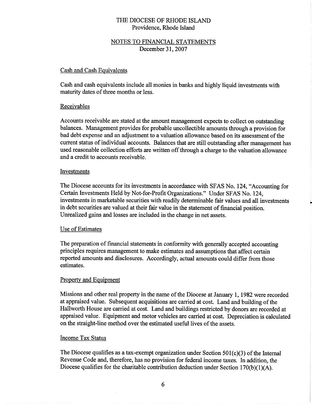### NOTES TO FINANCIAL STATEMENTS December 31, 2007

### **Cash and Cash Equivalents**

Cash and cash equivalents include all monies in banks and highly liquid investments with maturity dates of three months or less.

### Receivables

Accounts receivable are stated at the amount management expects to collect on outstanding balances. Management provides for probable uncollectible amounts through a provision for bad debt expense and an adjustment to a valuation allowance based on its assessment of the current status of individual accounts. Balances that are still outstanding after management has used reasonable collection efforts are written off through a charge to the valuation allowance and a credit to accounts receivable.

### Investments

The Diocese accounts for its investments in accordance with SFAS No. 124, "Accounting for Certain Investments Held by Not-for-Profit Organizations." Under SFAS No. 124, investments in marketable securities with readily determinable fair values and all investments in debt securities are valued at their fair value in the statement of financial position. Unrealized gains and losses are included in the change in net assets.

### **Use of Estimates**

The preparation of financial statements in conformity with generally accepted accounting principles requires management to make estimates and assumptions that affect certain reported amounts and disclosures. Accordingly, actual amounts could differ from those estimates.

### **Property and Equipment**

Missions and other real property in the name of the Diocese at January 1, 1982 were recorded at appraised value. Subsequent acquisitions are carried at cost. Land and building of the Hallworth House are carried at cost. Land and buildings restricted by donors are recorded at appraised value. Equipment and motor vehicles are carried at cost. Depreciation is calculated on the straight-line method over the estimated useful lives of the assets.

### **Income Tax Status**

The Diocese qualifies as a tax-exempt organization under Section  $501(c)(3)$  of the Internal Revenue Code and, therefore, has no provision for federal income taxes. In addition, the Diocese qualifies for the charitable contribution deduction under Section  $170(b)(1)(A)$ .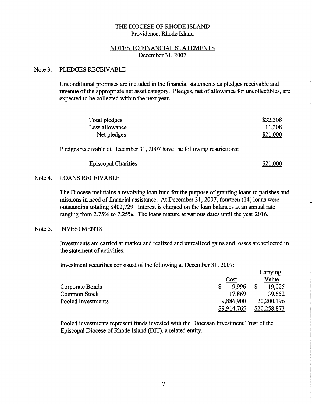### NOTES TO FINANCIAL STATEMENTS December 31, 2007

#### Note 3. PLEDGES RECEIVABLE

Unconditional promises are included in the financial statements as pledges receivable and revenue of the appropriate net asset category. Pledges, net of allowance for uncollectibles, are expected to be collected within the next year.

| Total pledges  | \$32,308 |
|----------------|----------|
| Less allowance | 11,308   |
| Net pledges    | \$21,000 |

Pledges receivable at December 31, 2007 have the following restrictions:

| <b>Episcopal Charities</b> | \$21,000 |
|----------------------------|----------|
|----------------------------|----------|

#### **LOANS RECEIVABLE** Note 4.

The Diocese maintains a revolving loan fund for the purpose of granting loans to parishes and missions in need of financial assistance. At December 31, 2007, fourteen (14) loans were outstanding totaling \$402,729. Interest is charged on the loan balances at an annual rate ranging from 2.75% to 7.25%. The loans mature at various dates until the year 2016.

#### **INVESTMENTS** Note 5.

Investments are carried at market and realized and unrealized gains and losses are reflected in the statement of activities.

Investment securities consisted of the following at December 31, 2007:

|                     |             | Carrying     |
|---------------------|-------------|--------------|
|                     | Cost        | Value        |
| Corporate Bonds     | 9.996       | 19.025       |
| <b>Common Stock</b> | 17,869      | 39,652       |
| Pooled Investments  | 9,886,900   | 20,200,196   |
|                     | \$9,914,765 | \$20,258,873 |

Pooled investments represent funds invested with the Diocesan Investment Trust of the Episcopal Diocese of Rhode Island (DIT), a related entity.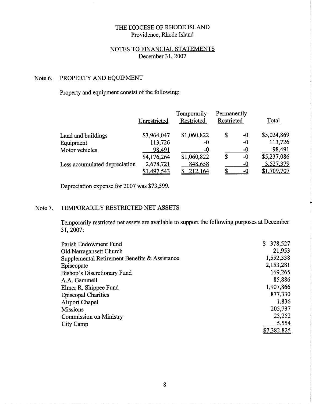## NOTES TO FINANCIAL STATEMENTS December 31, 2007

#### PROPERTY AND EQUIPMENT Note 6.

### Property and equipment consist of the following:

|                               | Unrestricted | Temporarily<br>Restricted | Permanently<br>Restricted |      | Total       |
|-------------------------------|--------------|---------------------------|---------------------------|------|-------------|
| Land and buildings            | \$3,964,047  | \$1,060,822               | \$                        | $-0$ | \$5,024,869 |
| Equipment                     | 113,726      | -0                        |                           | $-0$ | 113,726     |
| Motor vehicles                | 98,491       | $-0$                      |                           | $-0$ | 98,491      |
|                               | \$4,176,264  | \$1,060,822               | \$                        | $-0$ | \$5,237,086 |
| Less accumulated depreciation | 2,678,721    | 848,658                   |                           | -0   | 3,527,379   |
|                               | \$1,497,543  | <u> 212,164</u>           |                           | $-0$ | \$1,709,707 |

Depreciation expense for 2007 was \$73,599.

#### TEMPORARILY RESTRICTED NET ASSETS Note 7.

Temporarily restricted net assets are available to support the following purposes at December 31, 2007:

| Parish Endowment Fund                         | 378,527     |
|-----------------------------------------------|-------------|
| Old Narragansett Church                       | 21,953      |
| Supplemental Retirement Benefits & Assistance | 1,552,338   |
| Episcopate                                    | 2,153,281   |
| <b>Bishop's Discretionary Fund</b>            | 169,265     |
| A.A. Gammell                                  | 85,886      |
| Elmer R. Shippee Fund                         | 1,907,866   |
| <b>Episcopal Charities</b>                    | 877,330     |
| <b>Airport Chapel</b>                         | 1,836       |
| <b>Missions</b>                               | 205,737     |
| <b>Commission on Ministry</b>                 | 23,252      |
| City Camp                                     | 5,554       |
|                                               | \$7,382,825 |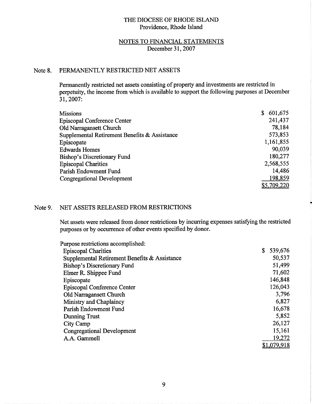### NOTES TO FINANCIAL STATEMENTS December 31, 2007

#### Note 8. PERMANENTLY RESTRICTED NET ASSETS

Permanently restricted net assets consisting of property and investments are restricted in perpetuity, the income from which is available to support the following purposes at December 31, 2007:

| <b>Missions</b>                               | 601,675<br>S. |
|-----------------------------------------------|---------------|
| <b>Episcopal Conference Center</b>            | 241,437       |
| Old Narragansett Church                       | 78,184        |
| Supplemental Retirement Benefits & Assistance | 573,853       |
| Episcopate                                    | 1,161,855     |
| <b>Edwards Homes</b>                          | 90,039        |
| <b>Bishop's Discretionary Fund</b>            | 180,277       |
| <b>Episcopal Charities</b>                    | 2,568,555     |
| Parish Endowment Fund                         | 14,486        |
| <b>Congregational Development</b>             | 198,859       |
|                                               | \$5,709,220   |

#### Note 9. NET ASSETS RELEASED FROM RESTRICTIONS

Net assets were released from donor restrictions by incurring expenses satisfying the restricted purposes or by occurrence of other events specified by donor.

| Purpose restrictions accomplished:            |               |
|-----------------------------------------------|---------------|
| <b>Episcopal Charities</b>                    | \$<br>539,676 |
| Supplemental Retirement Benefits & Assistance | 50,537        |
| <b>Bishop's Discretionary Fund</b>            | 51,499        |
| Elmer R. Shippee Fund                         | 71,602        |
| Episcopate                                    | 146,848       |
| <b>Episcopal Conference Center</b>            | 126,043       |
| Old Narragansett Church                       | 3,796         |
| Ministry and Chaplaincy                       | 6,827         |
| Parish Endowment Fund                         | 16,678        |
| <b>Dunning Trust</b>                          | 5,852         |
| City Camp                                     | 26,127        |
| <b>Congregational Development</b>             | 15,161        |
| A.A. Gammell                                  | 19,272        |
|                                               | \$1,079,918   |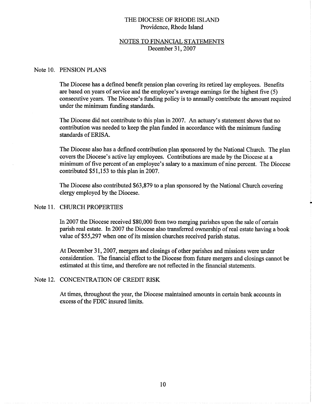### NOTES TO FINANCIAL STATEMENTS December 31, 2007

### Note 10. PENSION PLANS

The Diocese has a defined benefit pension plan covering its retired lay employees. Benefits are based on years of service and the employee's average earnings for the highest five (5) consecutive years. The Diocese's funding policy is to annually contribute the amount required under the minimum funding standards.

The Diocese did not contribute to this plan in 2007. An actuary's statement shows that no contribution was needed to keep the plan funded in accordance with the minimum funding standards of ERISA.

The Diocese also has a defined contribution plan sponsored by the National Church. The plan covers the Diocese's active lay employees. Contributions are made by the Diocese at a minimum of five percent of an employee's salary to a maximum of nine percent. The Diocese contributed \$51,153 to this plan in 2007.

The Diocese also contributed \$63,879 to a plan sponsored by the National Church covering clergy employed by the Diocese.

### Note 11. CHURCH PROPERTIES

In 2007 the Diocese received \$80,000 from two merging parishes upon the sale of certain parish real estate. In 2007 the Diocese also transferred ownership of real estate having a book value of \$55,297 when one of its mission churches received parish status.

At December 31, 2007, mergers and closings of other parishes and missions were under consideration. The financial effect to the Diocese from future mergers and closings cannot be estimated at this time, and therefore are not reflected in the financial statements.

### Note 12. CONCENTRATION OF CREDIT RISK

At times, throughout the year, the Diocese maintained amounts in certain bank accounts in excess of the FDIC insured limits.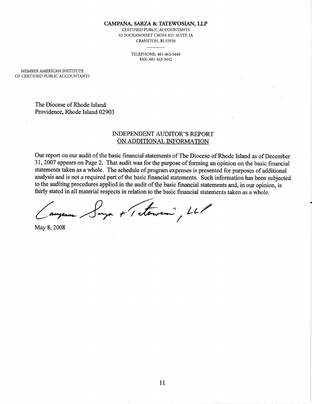CAMPANA, SARZA & TATEWOSIAN, LLP

CERTIFIED PUBLIC ACCOUNTANTS 63 SOCKANOSSET CROSS RD. SUITE 2A CRANSTON, RI 02920

> TELEPHONE: 401-463-3440 FAX: 401-463-3442

MEMBER AMERICAN INSTITUTE OF CERTIFIED PUBLIC ACCOUNTANTS

> The Diocese of Rhode Island Providence, Rhode Island 02903

### **INDEPENDENT AUDITOR'S REPORT** ON ADDITIONAL INFORMATION

Our report on our audit of the basic financial statements of The Diocese of Rhode Island as of December 31, 2007 appears on Page 2. That audit was for the purpose of forming an opinion on the basic financial statements taken as a whole. The schedule of program expenses is presented for purposes of additional analysis and is not a required part of the basic financial statements. Such information has been subjected to the auditing procedures applied in the audit of the basic financial statements and, in our opinion, is fairly stated in all material respects in relation to the basic financial statements taken as a whole.

ya + 1 atendin , LLP

May 8, 2008